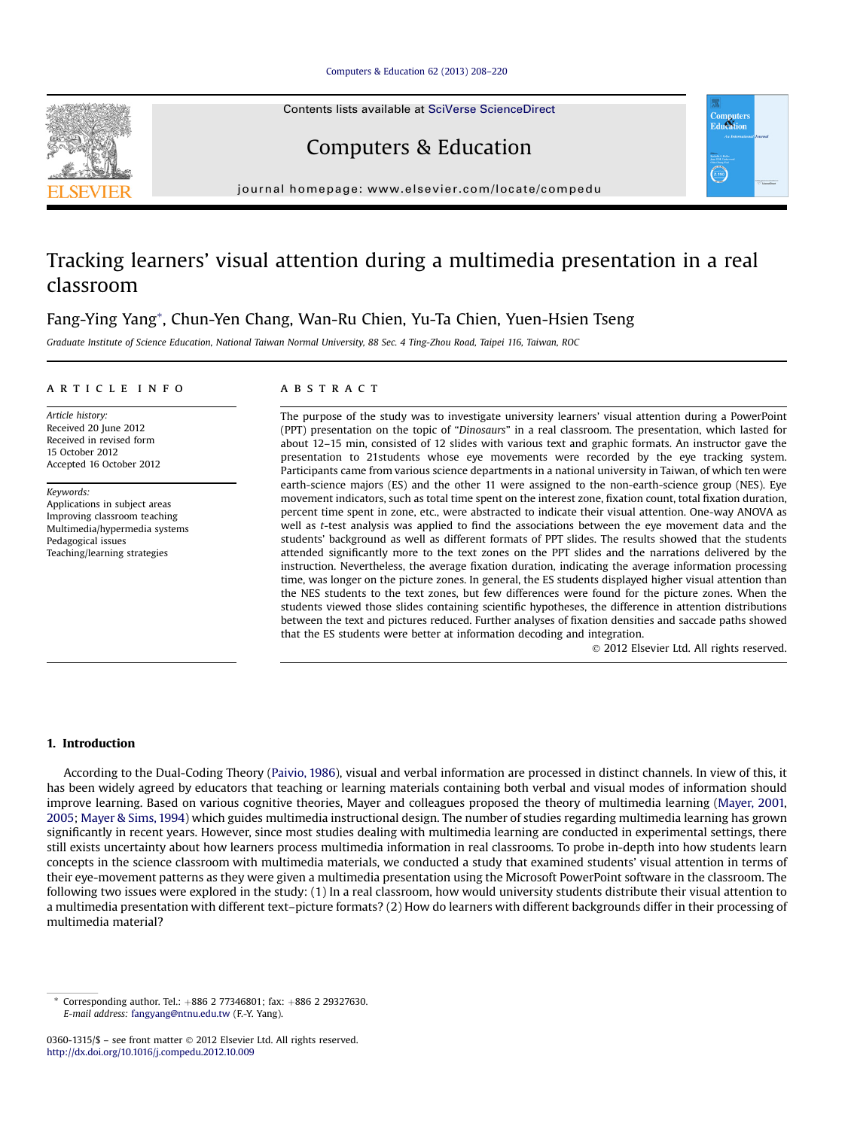#### [Computers & Education 62 \(2013\) 208](http://dx.doi.org/10.1016/j.compedu.2012.10.009)–220

Contents lists available at [SciVerse ScienceDirect](www.sciencedirect.com/science/journal/03601315)



Computers & Education



journal homepage: [www.elsevier.com/locate/compedu](http://www.elsevier.com/locate/compedu)

# Tracking learners' visual attention during a multimedia presentation in a real classroom

## Fang-Ying Yang\*, Chun-Yen Chang, Wan-Ru Chien, Yu-Ta Chien, Yuen-Hsien Tseng

Graduate Institute of Science Education, National Taiwan Normal University, 88 Sec. 4 Ting-Zhou Road, Taipei 116, Taiwan, ROC

## article info

Article history: Received 20 June 2012 Received in revised form 15 October 2012 Accepted 16 October 2012

Keywords: Applications in subject areas Improving classroom teaching Multimedia/hypermedia systems Pedagogical issues Teaching/learning strategies

## **ABSTRACT**

The purpose of the study was to investigate university learners' visual attention during a PowerPoint (PPT) presentation on the topic of "Dinosaurs" in a real classroom. The presentation, which lasted for about 12–15 min, consisted of 12 slides with various text and graphic formats. An instructor gave the presentation to 21students whose eye movements were recorded by the eye tracking system. Participants came from various science departments in a national university in Taiwan, of which ten were earth-science majors (ES) and the other 11 were assigned to the non-earth-science group (NES). Eye movement indicators, such as total time spent on the interest zone, fixation count, total fixation duration, percent time spent in zone, etc., were abstracted to indicate their visual attention. One-way ANOVA as well as t-test analysis was applied to find the associations between the eye movement data and the students' background as well as different formats of PPT slides. The results showed that the students attended significantly more to the text zones on the PPT slides and the narrations delivered by the instruction. Nevertheless, the average fixation duration, indicating the average information processing time, was longer on the picture zones. In general, the ES students displayed higher visual attention than the NES students to the text zones, but few differences were found for the picture zones. When the students viewed those slides containing scientific hypotheses, the difference in attention distributions between the text and pictures reduced. Further analyses of fixation densities and saccade paths showed that the ES students were better at information decoding and integration.

2012 Elsevier Ltd. All rights reserved.

## 1. Introduction

According to the Dual-Coding Theory ([Paivio, 1986\)](#page-11-0), visual and verbal information are processed in distinct channels. In view of this, it has been widely agreed by educators that teaching or learning materials containing both verbal and visual modes of information should improve learning. Based on various cognitive theories, Mayer and colleagues proposed the theory of multimedia learning ([Mayer, 2001,](#page-11-0) [2005](#page-11-0); [Mayer & Sims, 1994\)](#page-11-0) which guides multimedia instructional design. The number of studies regarding multimedia learning has grown significantly in recent years. However, since most studies dealing with multimedia learning are conducted in experimental settings, there still exists uncertainty about how learners process multimedia information in real classrooms. To probe in-depth into how students learn concepts in the science classroom with multimedia materials, we conducted a study that examined students' visual attention in terms of their eye-movement patterns as they were given a multimedia presentation using the Microsoft PowerPoint software in the classroom. The following two issues were explored in the study: (1) In a real classroom, how would university students distribute their visual attention to a multimedia presentation with different text–picture formats? (2) How do learners with different backgrounds differ in their processing of multimedia material?

Corresponding author. Tel.: +886 2 77346801; fax: +886 2 29327630. E-mail address: [fangyang@ntnu.edu.tw](mailto:fangyang@ntnu.edu.tw) (F.-Y. Yang).

<sup>0360-1315/\$ -</sup> see front matter © 2012 Elsevier Ltd. All rights reserved. <http://dx.doi.org/10.1016/j.compedu.2012.10.009>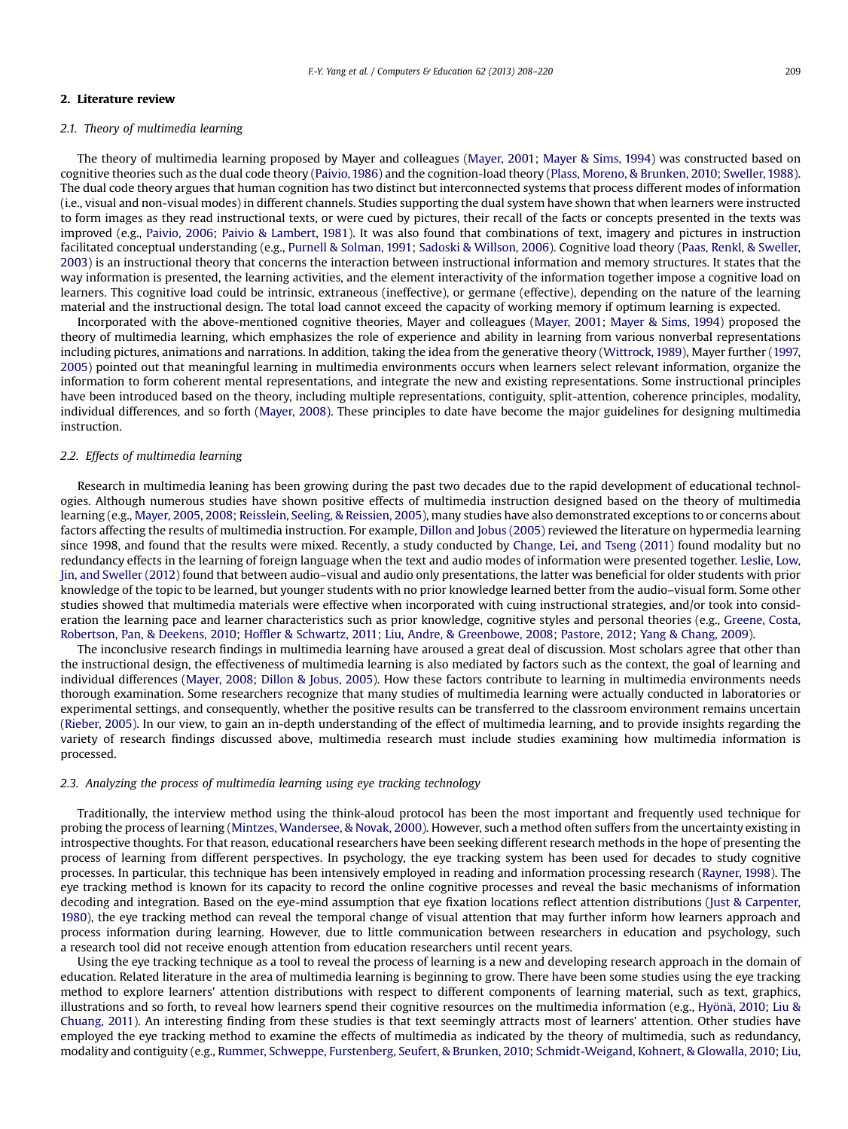#### 2. Literature review

#### 2.1. Theory of multimedia learning

The theory of multimedia learning proposed by Mayer and colleagues ([Mayer, 2001;](#page-11-0) [Mayer & Sims, 1994](#page-11-0)) was constructed based on cognitive theories such as the dual code theory ([Paivio, 1986\)](#page-11-0) and the cognition-load theory ([Plass, Moreno, & Brunken, 2010;](#page-11-0) [Sweller, 1988\)](#page-11-0). The dual code theory argues that human cognition has two distinct but interconnected systems that process different modes of information (i.e., visual and non-visual modes) in different channels. Studies supporting the dual system have shown that when learners were instructed to form images as they read instructional texts, or were cued by pictures, their recall of the facts or concepts presented in the texts was improved (e.g., [Paivio, 2006;](#page-11-0) [Paivio & Lambert, 1981\)](#page-11-0). It was also found that combinations of text, imagery and pictures in instruction facilitated conceptual understanding (e.g., [Purnell & Solman, 1991;](#page-11-0) [Sadoski & Willson, 2006\)](#page-11-0). Cognitive load theory [\(Paas, Renkl, & Sweller,](#page-11-0) [2003\)](#page-11-0) is an instructional theory that concerns the interaction between instructional information and memory structures. It states that the way information is presented, the learning activities, and the element interactivity of the information together impose a cognitive load on learners. This cognitive load could be intrinsic, extraneous (ineffective), or germane (effective), depending on the nature of the learning material and the instructional design. The total load cannot exceed the capacity of working memory if optimum learning is expected.

Incorporated with the above-mentioned cognitive theories, Mayer and colleagues [\(Mayer, 2001;](#page-11-0) [Mayer & Sims, 1994\)](#page-11-0) proposed the theory of multimedia learning, which emphasizes the role of experience and ability in learning from various nonverbal representations including pictures, animations and narrations. In addition, taking the idea from the generative theory [\(Wittrock, 1989](#page-12-0)), Mayer further [\(1997,](#page-11-0) [2005\)](#page-11-0) pointed out that meaningful learning in multimedia environments occurs when learners select relevant information, organize the information to form coherent mental representations, and integrate the new and existing representations. Some instructional principles have been introduced based on the theory, including multiple representations, contiguity, split-attention, coherence principles, modality, individual differences, and so forth [\(Mayer, 2008](#page-11-0)). These principles to date have become the major guidelines for designing multimedia instruction.

#### 2.2. Effects of multimedia learning

Research in multimedia leaning has been growing during the past two decades due to the rapid development of educational technologies. Although numerous studies have shown positive effects of multimedia instruction designed based on the theory of multimedia learning (e.g., [Mayer, 2005,](#page-11-0) [2008;](#page-11-0) [Reisslein, Seeling, & Reissien, 2005](#page-11-0)), many studies have also demonstrated exceptions to or concerns about factors affecting the results of multimedia instruction. For example, [Dillon and Jobus \(2005\)](#page-11-0) reviewed the literature on hypermedia learning since 1998, and found that the results were mixed. Recently, a study conducted by [Change, Lei, and Tseng \(2011\)](#page-11-0) found modality but no redundancy effects in the learning of foreign language when the text and audio modes of information were presented together. [Leslie, Low,](#page-11-0) [Jin, and Sweller \(2012\)](#page-11-0) found that between audio–visual and audio only presentations, the latter was beneficial for older students with prior knowledge of the topic to be learned, but younger students with no prior knowledge learned better from the audio–visual form. Some other studies showed that multimedia materials were effective when incorporated with cuing instructional strategies, and/or took into consideration the learning pace and learner characteristics such as prior knowledge, cognitive styles and personal theories (e.g., [Greene, Costa,](#page-11-0) [Robertson, Pan, & Deekens, 2010](#page-11-0); Hoffl[er & Schwartz, 2011](#page-11-0); [Liu, Andre, & Greenbowe, 2008;](#page-11-0) [Pastore, 2012](#page-11-0); [Yang & Chang, 2009\)](#page-12-0).

The inconclusive research findings in multimedia learning have aroused a great deal of discussion. Most scholars agree that other than the instructional design, the effectiveness of multimedia learning is also mediated by factors such as the context, the goal of learning and individual differences ([Mayer, 2008;](#page-11-0) [Dillon & Jobus, 2005](#page-11-0)). How these factors contribute to learning in multimedia environments needs thorough examination. Some researchers recognize that many studies of multimedia learning were actually conducted in laboratories or experimental settings, and consequently, whether the positive results can be transferred to the classroom environment remains uncertain ([Rieber, 2005\)](#page-11-0). In our view, to gain an in-depth understanding of the effect of multimedia learning, and to provide insights regarding the variety of research findings discussed above, multimedia research must include studies examining how multimedia information is processed.

#### 2.3. Analyzing the process of multimedia learning using eye tracking technology

Traditionally, the interview method using the think-aloud protocol has been the most important and frequently used technique for probing the process of learning ([Mintzes, Wandersee, & Novak, 2000](#page-11-0)). However, such a method often suffers from the uncertainty existing in introspective thoughts. For that reason, educational researchers have been seeking different research methods in the hope of presenting the process of learning from different perspectives. In psychology, the eye tracking system has been used for decades to study cognitive processes. In particular, this technique has been intensively employed in reading and information processing research [\(Rayner, 1998](#page-11-0)). The eye tracking method is known for its capacity to record the online cognitive processes and reveal the basic mechanisms of information decoding and integration. Based on the eye-mind assumption that eye fixation locations reflect attention distributions ([Just & Carpenter,](#page-11-0) [1980\)](#page-11-0), the eye tracking method can reveal the temporal change of visual attention that may further inform how learners approach and process information during learning. However, due to little communication between researchers in education and psychology, such a research tool did not receive enough attention from education researchers until recent years.

Using the eye tracking technique as a tool to reveal the process of learning is a new and developing research approach in the domain of education. Related literature in the area of multimedia learning is beginning to grow. There have been some studies using the eye tracking method to explore learners' attention distributions with respect to different components of learning material, such as text, graphics, illustrations and so forth, to reveal how learners spend their cognitive resources on the multimedia information (e.g., [Hyönä, 2010;](#page-11-0) [Liu &](#page-11-0) [Chuang, 2011\)](#page-11-0). An interesting finding from these studies is that text seemingly attracts most of learners' attention. Other studies have employed the eye tracking method to examine the effects of multimedia as indicated by the theory of multimedia, such as redundancy, modality and contiguity (e.g., [Rummer, Schweppe, Furstenberg, Seufert, & Brunken, 2010](#page-11-0); [Schmidt-Weigand, Kohnert, & Glowalla, 2010;](#page-11-0) [Liu,](#page-11-0)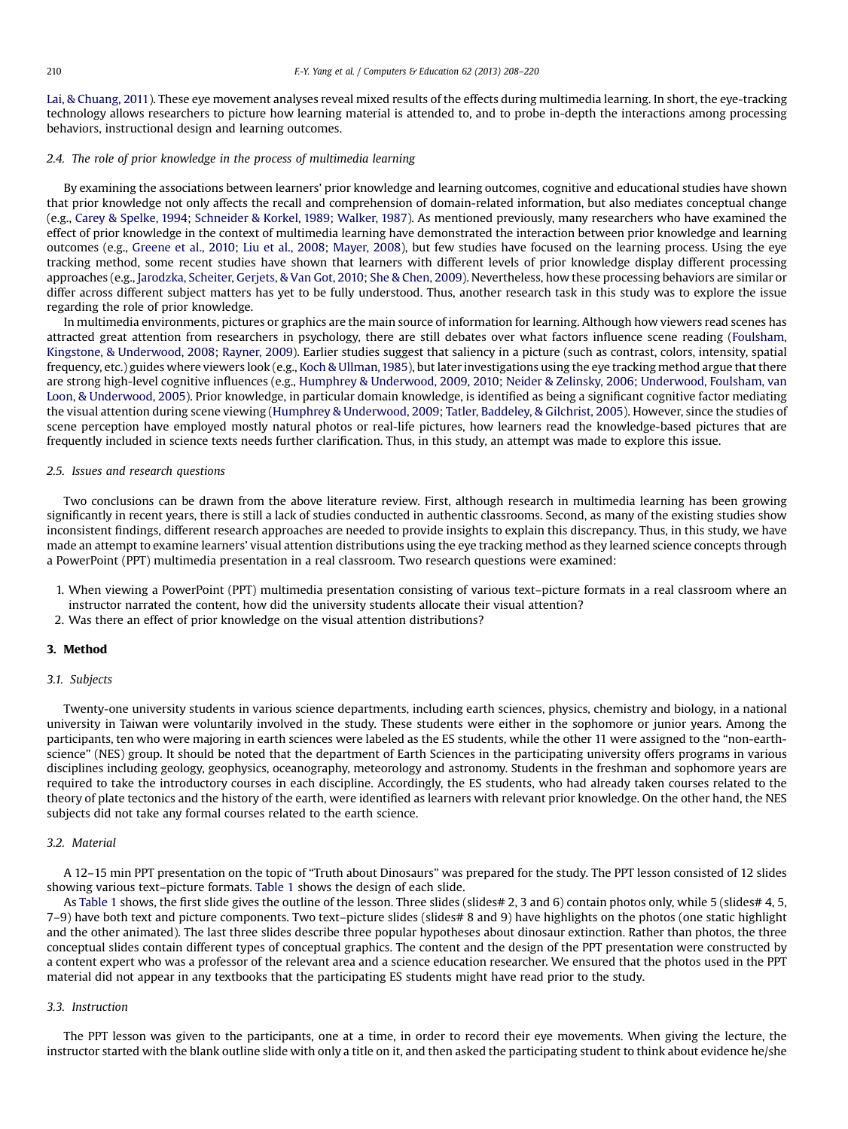[Lai, & Chuang, 2011\)](#page-11-0). These eye movement analyses reveal mixed results of the effects during multimedia learning. In short, the eye-tracking technology allows researchers to picture how learning material is attended to, and to probe in-depth the interactions among processing behaviors, instructional design and learning outcomes.

## 2.4. The role of prior knowledge in the process of multimedia learning

By examining the associations between learners' prior knowledge and learning outcomes, cognitive and educational studies have shown that prior knowledge not only affects the recall and comprehension of domain-related information, but also mediates conceptual change (e.g., [Carey & Spelke, 1994;](#page-10-0) [Schneider & Korkel, 1989;](#page-11-0) [Walker, 1987](#page-12-0)). As mentioned previously, many researchers who have examined the effect of prior knowledge in the context of multimedia learning have demonstrated the interaction between prior knowledge and learning outcomes (e.g., [Greene et al., 2010;](#page-11-0) [Liu et al., 2008](#page-11-0); [Mayer, 2008\)](#page-11-0), but few studies have focused on the learning process. Using the eye tracking method, some recent studies have shown that learners with different levels of prior knowledge display different processing approaches (e.g., [Jarodzka, Scheiter, Gerjets, & Van Got, 2010;](#page-11-0) [She & Chen, 2009\)](#page-11-0). Nevertheless, how these processing behaviors are similar or differ across different subject matters has yet to be fully understood. Thus, another research task in this study was to explore the issue regarding the role of prior knowledge.

In multimedia environments, pictures or graphics are the main source of information for learning. Although how viewers read scenes has attracted great attention from researchers in psychology, there are still debates over what factors influence scene reading [\(Foulsham,](#page-11-0) [Kingstone, & Underwood, 2008;](#page-11-0) [Rayner, 2009\)](#page-11-0). Earlier studies suggest that saliency in a picture (such as contrast, colors, intensity, spatial frequency, etc.) guides where viewers look (e.g., [Koch & Ullman,1985\)](#page-11-0), but later investigations using the eye tracking method argue that there are strong high-level cognitive influences (e.g., [Humphrey & Underwood, 2009](#page-11-0), [2010;](#page-11-0) [Neider & Zelinsky, 2006](#page-11-0); [Underwood, Foulsham, van](#page-11-0) [Loon, & Underwood, 2005\)](#page-11-0). Prior knowledge, in particular domain knowledge, is identified as being a significant cognitive factor mediating the visual attention during scene viewing ([Humphrey & Underwood, 2009;](#page-11-0) [Tatler, Baddeley, & Gilchrist, 2005\)](#page-11-0). However, since the studies of scene perception have employed mostly natural photos or real-life pictures, how learners read the knowledge-based pictures that are frequently included in science texts needs further clarification. Thus, in this study, an attempt was made to explore this issue.

## 2.5. Issues and research questions

Two conclusions can be drawn from the above literature review. First, although research in multimedia learning has been growing significantly in recent years, there is still a lack of studies conducted in authentic classrooms. Second, as many of the existing studies show inconsistent findings, different research approaches are needed to provide insights to explain this discrepancy. Thus, in this study, we have made an attempt to examine learners' visual attention distributions using the eye tracking method as they learned science concepts through a PowerPoint (PPT) multimedia presentation in a real classroom. Two research questions were examined:

- 1. When viewing a PowerPoint (PPT) multimedia presentation consisting of various text–picture formats in a real classroom where an instructor narrated the content, how did the university students allocate their visual attention?
- 2. Was there an effect of prior knowledge on the visual attention distributions?

## 3. Method

## 3.1. Subjects

Twenty-one university students in various science departments, including earth sciences, physics, chemistry and biology, in a national university in Taiwan were voluntarily involved in the study. These students were either in the sophomore or junior years. Among the participants, ten who were majoring in earth sciences were labeled as the ES students, while the other 11 were assigned to the "non-earthscience" (NES) group. It should be noted that the department of Earth Sciences in the participating university offers programs in various disciplines including geology, geophysics, oceanography, meteorology and astronomy. Students in the freshman and sophomore years are required to take the introductory courses in each discipline. Accordingly, the ES students, who had already taken courses related to the theory of plate tectonics and the history of the earth, were identified as learners with relevant prior knowledge. On the other hand, the NES subjects did not take any formal courses related to the earth science.

#### 3.2. Material

A 12–15 min PPT presentation on the topic of "Truth about Dinosaurs" was prepared for the study. The PPT lesson consisted of 12 slides showing various text–picture formats. [Table 1](#page-3-0) shows the design of each slide.

As [Table 1](#page-3-0) shows, the first slide gives the outline of the lesson. Three slides (slides# 2, 3 and 6) contain photos only, while 5 (slides# 4, 5, 7–9) have both text and picture components. Two text–picture slides (slides# 8 and 9) have highlights on the photos (one static highlight and the other animated). The last three slides describe three popular hypotheses about dinosaur extinction. Rather than photos, the three conceptual slides contain different types of conceptual graphics. The content and the design of the PPT presentation were constructed by a content expert who was a professor of the relevant area and a science education researcher. We ensured that the photos used in the PPT material did not appear in any textbooks that the participating ES students might have read prior to the study.

## 3.3. Instruction

The PPT lesson was given to the participants, one at a time, in order to record their eye movements. When giving the lecture, the instructor started with the blank outline slide with only a title on it, and then asked the participating student to think about evidence he/she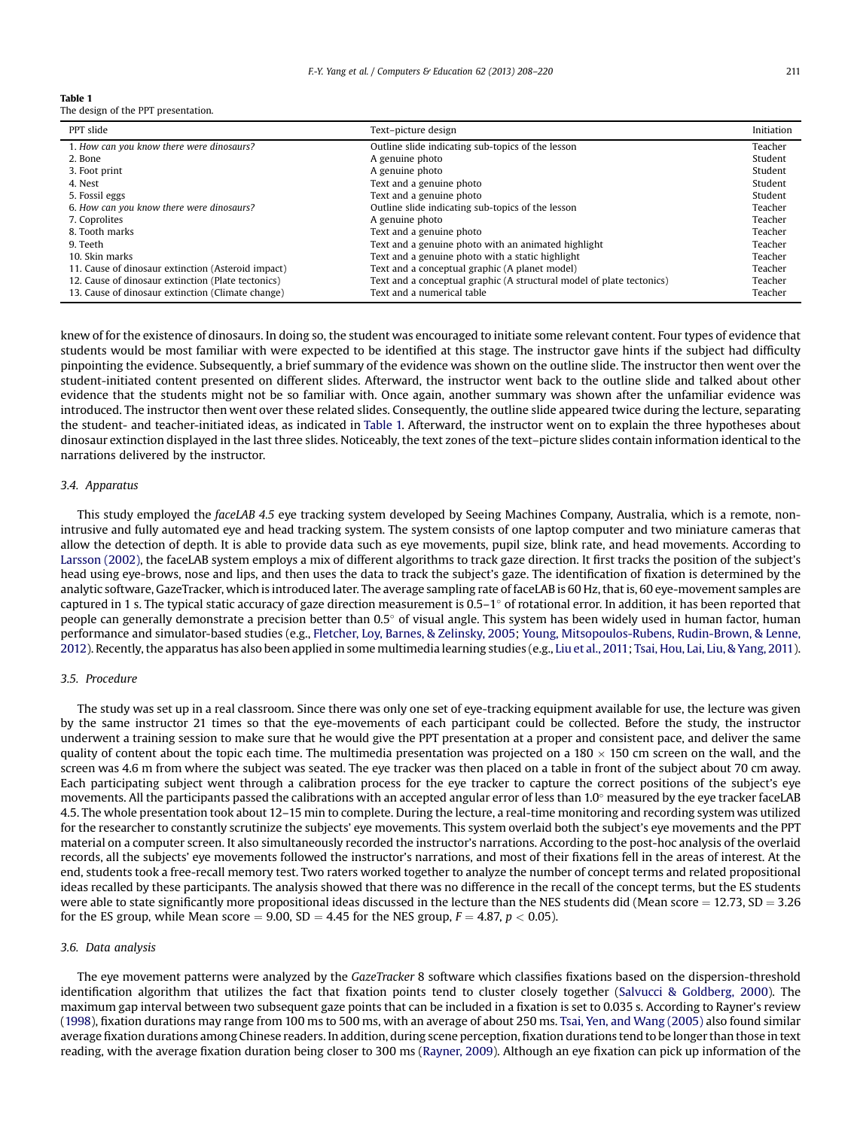<span id="page-3-0"></span>

| Table 1 |  |                                     |
|---------|--|-------------------------------------|
|         |  | The design of the PPT presentation. |

| PPT slide                                          | Text-picture design                                                   | Initiation |
|----------------------------------------------------|-----------------------------------------------------------------------|------------|
| 1. How can you know there were dinosaurs?          | Outline slide indicating sub-topics of the lesson                     | Teacher    |
| 2. Bone                                            | A genuine photo                                                       | Student    |
| 3. Foot print                                      | A genuine photo                                                       | Student    |
| 4. Nest                                            | Text and a genuine photo                                              | Student    |
| 5. Fossil eggs                                     | Text and a genuine photo                                              | Student    |
| 6. How can you know there were dinosaurs?          | Outline slide indicating sub-topics of the lesson                     | Teacher    |
| 7. Coprolites                                      | A genuine photo                                                       | Teacher    |
| 8. Tooth marks                                     | Text and a genuine photo                                              | Teacher    |
| 9. Teeth                                           | Text and a genuine photo with an animated highlight                   | Teacher    |
| 10. Skin marks                                     | Text and a genuine photo with a static highlight                      | Teacher    |
| 11. Cause of dinosaur extinction (Asteroid impact) | Text and a conceptual graphic (A planet model)                        | Teacher    |
| 12. Cause of dinosaur extinction (Plate tectonics) | Text and a conceptual graphic (A structural model of plate tectonics) | Teacher    |
| 13. Cause of dinosaur extinction (Climate change)  | Text and a numerical table                                            | Teacher    |

knew of for the existence of dinosaurs. In doing so, the student was encouraged to initiate some relevant content. Four types of evidence that students would be most familiar with were expected to be identified at this stage. The instructor gave hints if the subject had difficulty pinpointing the evidence. Subsequently, a brief summary of the evidence was shown on the outline slide. The instructor then went over the student-initiated content presented on different slides. Afterward, the instructor went back to the outline slide and talked about other evidence that the students might not be so familiar with. Once again, another summary was shown after the unfamiliar evidence was introduced. The instructor then went over these related slides. Consequently, the outline slide appeared twice during the lecture, separating the student- and teacher-initiated ideas, as indicated in Table 1. Afterward, the instructor went on to explain the three hypotheses about dinosaur extinction displayed in the last three slides. Noticeably, the text zones of the text–picture slides contain information identical to the narrations delivered by the instructor.

#### 3.4. Apparatus

This study employed the faceLAB 4.5 eye tracking system developed by Seeing Machines Company, Australia, which is a remote, nonintrusive and fully automated eye and head tracking system. The system consists of one laptop computer and two miniature cameras that allow the detection of depth. It is able to provide data such as eye movements, pupil size, blink rate, and head movements. According to [Larsson \(2002\)](#page-11-0), the faceLAB system employs a mix of different algorithms to track gaze direction. It first tracks the position of the subject's head using eye-brows, nose and lips, and then uses the data to track the subject's gaze. The identification of fixation is determined by the analytic software, GazeTracker, which is introduced later. The average sampling rate of faceLAB is 60 Hz, that is, 60 eye-movement samples are captured in 1 s. The typical static accuracy of gaze direction measurement is 0.5–1° of rotational error. In addition, it has been reported that people can generally demonstrate a precision better than 0.5° of visual angle. This system has been widely used in human factor, human performance and simulator-based studies (e.g., [Fletcher, Loy, Barnes, & Zelinsky, 2005](#page-11-0); [Young, Mitsopoulos-Rubens, Rudin-Brown, & Lenne,](#page-12-0) [2012\)](#page-12-0). Recently, the apparatus has also been applied in some multimedia learning studies (e.g., [Liu et al., 2011](#page-11-0); [Tsai, Hou, Lai, Liu, & Yang, 2011\)](#page-11-0).

#### 3.5. Procedure

The study was set up in a real classroom. Since there was only one set of eye-tracking equipment available for use, the lecture was given by the same instructor 21 times so that the eye-movements of each participant could be collected. Before the study, the instructor underwent a training session to make sure that he would give the PPT presentation at a proper and consistent pace, and deliver the same quality of content about the topic each time. The multimedia presentation was projected on a 180  $\times$  150 cm screen on the wall, and the screen was 4.6 m from where the subject was seated. The eye tracker was then placed on a table in front of the subject about 70 cm away. Each participating subject went through a calibration process for the eye tracker to capture the correct positions of the subject's eye movements. All the participants passed the calibrations with an accepted angular error of less than 1.0° measured by the eye tracker faceLAB  $\,$ 4.5. The whole presentation took about 12–15 min to complete. During the lecture, a real-time monitoring and recording system was utilized for the researcher to constantly scrutinize the subjects' eye movements. This system overlaid both the subject's eye movements and the PPT material on a computer screen. It also simultaneously recorded the instructor's narrations. According to the post-hoc analysis of the overlaid records, all the subjects' eye movements followed the instructor's narrations, and most of their fixations fell in the areas of interest. At the end, students took a free-recall memory test. Two raters worked together to analyze the number of concept terms and related propositional ideas recalled by these participants. The analysis showed that there was no difference in the recall of the concept terms, but the ES students were able to state significantly more propositional ideas discussed in the lecture than the NES students did (Mean score  $= 12.73$ , SD  $= 3.26$ for the ES group, while Mean score = 9.00, SD = 4.45 for the NES group,  $F = 4.87$ ,  $p < 0.05$ ).

#### 3.6. Data analysis

The eye movement patterns were analyzed by the GazeTracker 8 software which classifies fixations based on the dispersion-threshold identification algorithm that utilizes the fact that fixation points tend to cluster closely together [\(Salvucci & Goldberg, 2000\)](#page-11-0). The maximum gap interval between two subsequent gaze points that can be included in a fixation is set to 0.035 s. According to Rayner's review ([1998](#page-11-0)), fixation durations may range from 100 ms to 500 ms, with an average of about 250 ms. [Tsai, Yen, and Wang \(2005\)](#page-11-0) also found similar average fixation durations among Chinese readers. In addition, during scene perception, fixation durations tend to be longer than those in text reading, with the average fixation duration being closer to 300 ms [\(Rayner, 2009](#page-11-0)). Although an eye fixation can pick up information of the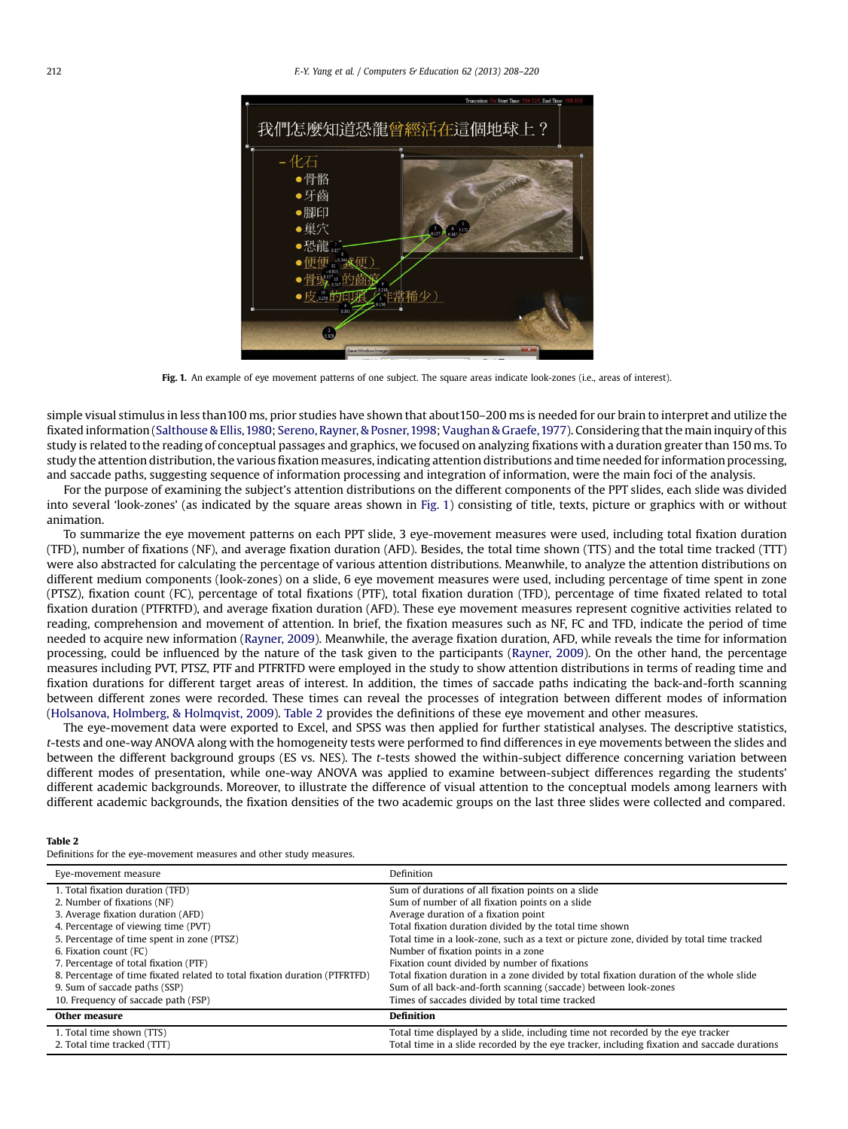<span id="page-4-0"></span>

Fig. 1. An example of eye movement patterns of one subject. The square areas indicate look-zones (i.e., areas of interest).

simple visual stimulus in less than100 ms, prior studies have shown that about150–200 ms is needed for our brain to interpret and utilize the fixated information ([Salthouse & Ellis,1980;](#page-11-0) [Sereno, Rayner, & Posner,1998;](#page-11-0)[Vaughan & Graefe,1977](#page-12-0)). Considering that the main inquiry of this study is related to the reading of conceptual passages and graphics, we focused on analyzing fixations with a duration greater than 150 ms. To study the attention distribution, the various fixation measures, indicating attention distributions and time needed for information processing, and saccade paths, suggesting sequence of information processing and integration of information, were the main foci of the analysis.

For the purpose of examining the subject's attention distributions on the different components of the PPT slides, each slide was divided into several 'look-zones' (as indicated by the square areas shown in Fig. 1) consisting of title, texts, picture or graphics with or without animation.

To summarize the eye movement patterns on each PPT slide, 3 eye-movement measures were used, including total fixation duration (TFD), number of fixations (NF), and average fixation duration (AFD). Besides, the total time shown (TTS) and the total time tracked (TTT) were also abstracted for calculating the percentage of various attention distributions. Meanwhile, to analyze the attention distributions on different medium components (look-zones) on a slide, 6 eye movement measures were used, including percentage of time spent in zone (PTSZ), fixation count (FC), percentage of total fixations (PTF), total fixation duration (TFD), percentage of time fixated related to total fixation duration (PTFRTFD), and average fixation duration (AFD). These eye movement measures represent cognitive activities related to reading, comprehension and movement of attention. In brief, the fixation measures such as NF, FC and TFD, indicate the period of time needed to acquire new information ([Rayner, 2009](#page-11-0)). Meanwhile, the average fixation duration, AFD, while reveals the time for information processing, could be influenced by the nature of the task given to the participants ([Rayner, 2009](#page-11-0)). On the other hand, the percentage measures including PVT, PTSZ, PTF and PTFRTFD were employed in the study to show attention distributions in terms of reading time and fixation durations for different target areas of interest. In addition, the times of saccade paths indicating the back-and-forth scanning between different zones were recorded. These times can reveal the processes of integration between different modes of information ([Holsanova, Holmberg, & Holmqvist, 2009](#page-11-0)). Table 2 provides the definitions of these eye movement and other measures.

The eye-movement data were exported to Excel, and SPSS was then applied for further statistical analyses. The descriptive statistics, t-tests and one-way ANOVA along with the homogeneity tests were performed to find differences in eye movements between the slides and between the different background groups (ES vs. NES). The t-tests showed the within-subject difference concerning variation between different modes of presentation, while one-way ANOVA was applied to examine between-subject differences regarding the students' different academic backgrounds. Moreover, to illustrate the difference of visual attention to the conceptual models among learners with different academic backgrounds, the fixation densities of the two academic groups on the last three slides were collected and compared.

#### Table 2

Definitions for the eye-movement measures and other study measures.

| Eye-movement measure                                                       | Definition                                                                                  |
|----------------------------------------------------------------------------|---------------------------------------------------------------------------------------------|
| 1. Total fixation duration (TFD)                                           | Sum of durations of all fixation points on a slide                                          |
| 2. Number of fixations (NF)                                                | Sum of number of all fixation points on a slide                                             |
| 3. Average fixation duration (AFD)                                         | Average duration of a fixation point                                                        |
| 4. Percentage of viewing time (PVT)                                        | Total fixation duration divided by the total time shown                                     |
| 5. Percentage of time spent in zone (PTSZ)                                 | Total time in a look-zone, such as a text or picture zone, divided by total time tracked    |
| 6. Fixation count (FC)                                                     | Number of fixation points in a zone                                                         |
| 7. Percentage of total fixation (PTF)                                      | Fixation count divided by number of fixations                                               |
| 8. Percentage of time fixated related to total fixation duration (PTFRTFD) | Total fixation duration in a zone divided by total fixation duration of the whole slide     |
| 9. Sum of saccade paths (SSP)                                              | Sum of all back-and-forth scanning (saccade) between look-zones                             |
| 10. Frequency of saccade path (FSP)                                        | Times of saccades divided by total time tracked                                             |
| Other measure                                                              | <b>Definition</b>                                                                           |
| 1. Total time shown (TTS)                                                  | Total time displayed by a slide, including time not recorded by the eye tracker             |
| 2. Total time tracked (TTT)                                                | Total time in a slide recorded by the eye tracker, including fixation and saccade durations |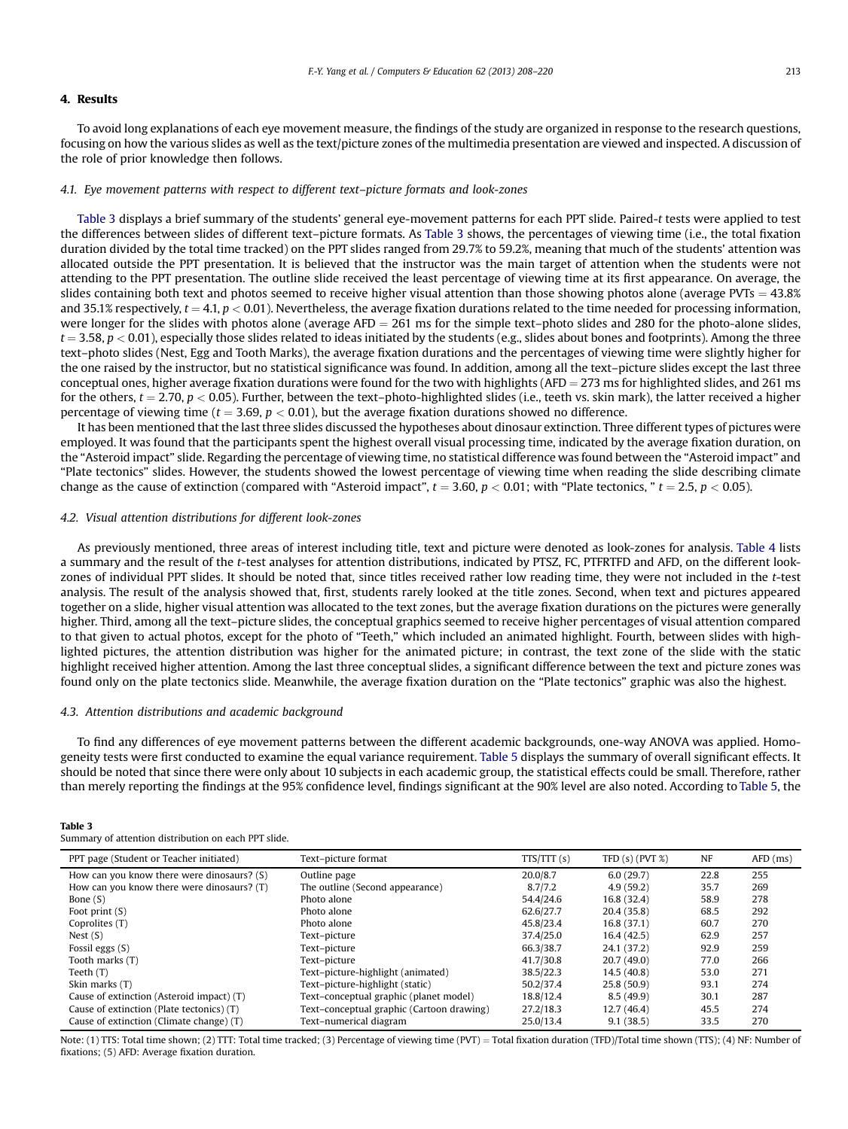## 4. Results

To avoid long explanations of each eye movement measure, the findings of the study are organized in response to the research questions, focusing on how the various slides as well as the text/picture zones of the multimedia presentation are viewed and inspected. A discussion of the role of prior knowledge then follows.

## 4.1. Eye movement patterns with respect to different text–picture formats and look-zones

Table 3 displays a brief summary of the students' general eye-movement patterns for each PPT slide. Paired-t tests were applied to test the differences between slides of different text–picture formats. As Table 3 shows, the percentages of viewing time (i.e., the total fixation duration divided by the total time tracked) on the PPT slides ranged from 29.7% to 59.2%, meaning that much of the students' attention was allocated outside the PPT presentation. It is believed that the instructor was the main target of attention when the students were not attending to the PPT presentation. The outline slide received the least percentage of viewing time at its first appearance. On average, the slides containing both text and photos seemed to receive higher visual attention than those showing photos alone (average PVTs  $= 43.8\%$ and 35.1% respectively,  $t = 4.1$ ,  $p < 0.01$ ). Nevertheless, the average fixation durations related to the time needed for processing information, were longer for the slides with photos alone (average  $AFD = 261$  ms for the simple text–photo slides and 280 for the photo-alone slides,  $t = 3.58$ ,  $p < 0.01$ ), especially those slides related to ideas initiated by the students (e.g., slides about bones and footprints). Among the three text–photo slides (Nest, Egg and Tooth Marks), the average fixation durations and the percentages of viewing time were slightly higher for the one raised by the instructor, but no statistical significance was found. In addition, among all the text–picture slides except the last three conceptual ones, higher average fixation durations were found for the two with highlights (AFD =  $273$  ms for highlighted slides, and  $261$  ms for the others,  $t = 2.70$ ,  $p < 0.05$ ). Further, between the text-photo-highlighted slides (i.e., teeth vs. skin mark), the latter received a higher percentage of viewing time ( $t = 3.69$ ,  $p < 0.01$ ), but the average fixation durations showed no difference.

It has been mentioned that the last three slides discussed the hypotheses about dinosaur extinction. Three different types of pictures were employed. It was found that the participants spent the highest overall visual processing time, indicated by the average fixation duration, on the "Asteroid impact" slide. Regarding the percentage of viewing time, no statistical difference was found between the "Asteroid impact" and "Plate tectonics" slides. However, the students showed the lowest percentage of viewing time when reading the slide describing climate change as the cause of extinction (compared with "Asteroid impact",  $t = 3.60$ ,  $p < 0.01$ ; with "Plate tectonics, "  $t = 2.5$ ,  $p < 0.05$ ).

### 4.2. Visual attention distributions for different look-zones

As previously mentioned, three areas of interest including title, text and picture were denoted as look-zones for analysis. [Table 4](#page-6-0) lists a summary and the result of the t-test analyses for attention distributions, indicated by PTSZ, FC, PTFRTFD and AFD, on the different lookzones of individual PPT slides. It should be noted that, since titles received rather low reading time, they were not included in the t-test analysis. The result of the analysis showed that, first, students rarely looked at the title zones. Second, when text and pictures appeared together on a slide, higher visual attention was allocated to the text zones, but the average fixation durations on the pictures were generally higher. Third, among all the text–picture slides, the conceptual graphics seemed to receive higher percentages of visual attention compared to that given to actual photos, except for the photo of "Teeth," which included an animated highlight. Fourth, between slides with highlighted pictures, the attention distribution was higher for the animated picture; in contrast, the text zone of the slide with the static highlight received higher attention. Among the last three conceptual slides, a significant difference between the text and picture zones was found only on the plate tectonics slide. Meanwhile, the average fixation duration on the "Plate tectonics" graphic was also the highest.

## 4.3. Attention distributions and academic background

To find any differences of eye movement patterns between the different academic backgrounds, one-way ANOVA was applied. Homogeneity tests were first conducted to examine the equal variance requirement. [Table 5](#page-6-0) displays the summary of overall significant effects. It should be noted that since there were only about 10 subjects in each academic group, the statistical effects could be small. Therefore, rather than merely reporting the findings at the 95% confidence level, findings significant at the 90% level are also noted. According to [Table 5](#page-6-0), the

#### Table 3

Summary of attention distribution on each PPT slide.

| PPT page (Student or Teacher initiated)      | Text-picture format                       | TTS/TTT(s) | TFD $(s)$ (PVT $\%$ ) | <b>NF</b> | $AFD$ ( $ms$ ) |
|----------------------------------------------|-------------------------------------------|------------|-----------------------|-----------|----------------|
| How can you know there were dinosaurs? $(S)$ | Outline page                              | 20.0/8.7   | 6.0(29.7)             | 22.8      | 255            |
| How can you know there were dinosaurs? (T)   | The outline (Second appearance)           | 8.7/7.2    | 4.9(59.2)             | 35.7      | 269            |
| Bone (S)                                     | Photo alone                               | 54.4/24.6  | 16.8 (32.4)           | 58.9      | 278            |
| Foot print $(S)$                             | Photo alone                               | 62.6/27.7  | 20.4(35.8)            | 68.5      | 292            |
| Coprolites (T)                               | Photo alone                               | 45.8/23.4  | 16.8(37.1)            | 60.7      | 270            |
| Nest $(S)$                                   | Text-picture                              | 37.4/25.0  | 16.4(42.5)            | 62.9      | 257            |
| Fossil eggs (S)                              | Text-picture                              | 66.3/38.7  | 24.1 (37.2)           | 92.9      | 259            |
| Tooth marks (T)                              | Text-picture                              | 41.7/30.8  | 20.7(49.0)            | 77.0      | 266            |
| Teeth $(T)$                                  | Text-picture-highlight (animated)         | 38.5/22.3  | 14.5(40.8)            | 53.0      | 271            |
| Skin marks (T)                               | Text-picture-highlight (static)           | 50.2/37.4  | 25.8(50.9)            | 93.1      | 274            |
| Cause of extinction (Asteroid impact) (T)    | Text-conceptual graphic (planet model)    | 18.8/12.4  | 8.5(49.9)             | 30.1      | 287            |
| Cause of extinction (Plate tectonics) (T)    | Text-conceptual graphic (Cartoon drawing) | 27.2/18.3  | 12.7(46.4)            | 45.5      | 274            |
| Cause of extinction (Climate change) (T)     | Text-numerical diagram                    | 25.0/13.4  | 9.1(38.5)             | 33.5      | 270            |

Note: (1) TTS: Total time shown; (2) TTT: Total time tracked; (3) Percentage of viewing time (PVT) = Total fixation duration (TFD)/Total time shown (TTS); (4) NF: Number of fixations; (5) AFD: Average fixation duration.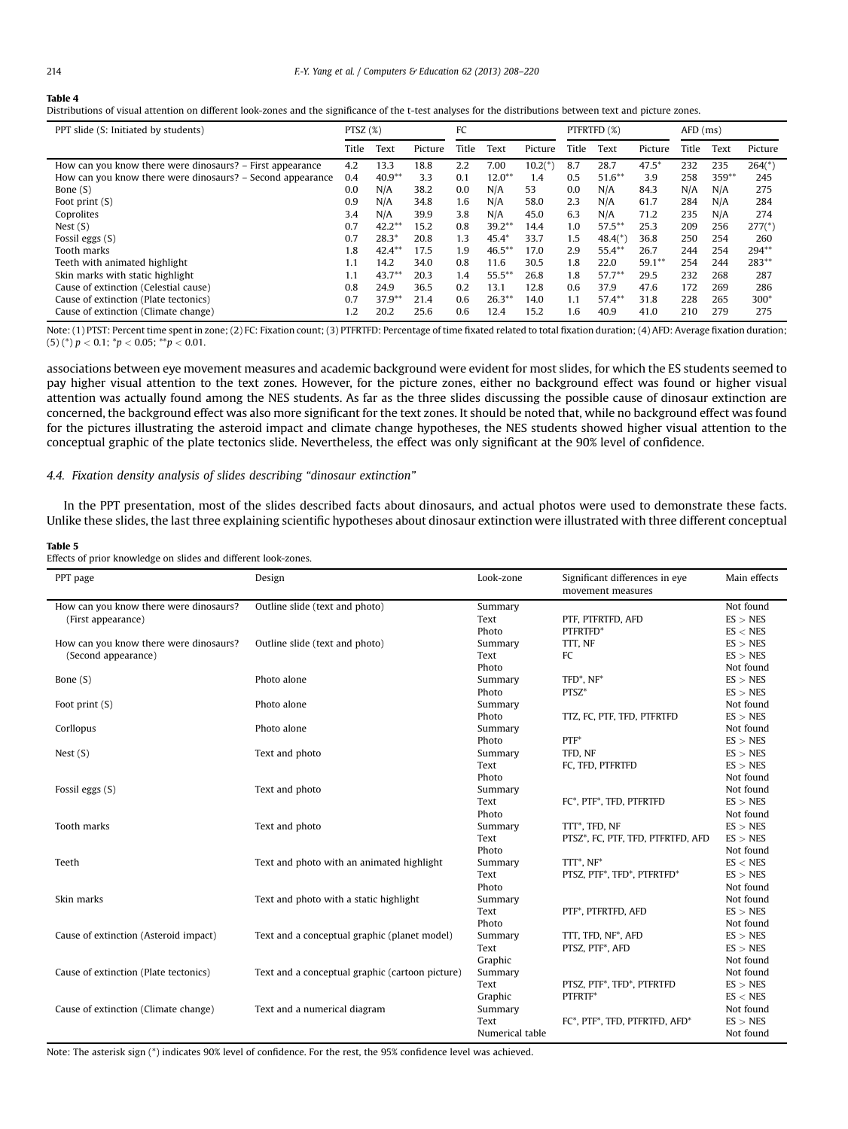#### <span id="page-6-0"></span>Table 4

Distributions of visual attention on different look-zones and the significance of the t-test analyses for the distributions between text and picture zones.

| PPT slide (S: Initiated by students)                       | PTSZ $(\%)$ |           | FC      |               | PTFRTFD (%) |                     | $AFD$ ( $ms$ ) |           |          |       |         |                      |
|------------------------------------------------------------|-------------|-----------|---------|---------------|-------------|---------------------|----------------|-----------|----------|-------|---------|----------------------|
|                                                            | Title       | Text      | Picture | Title         | Text        | Picture             | Title          | Text      | Picture  | Title | Text    | Picture              |
| How can you know there were dinosaurs? – First appearance  | 4.2         | 13.3      | 18.8    | 2.2           | 7.00        | $10.2$ <sup>*</sup> | 8.7            | 28.7      | $47.5*$  | 232   | 235     | $264$ <sup>*</sup> ) |
| How can you know there were dinosaurs? – Second appearance | 0.4         | $40.9**$  | 3.3     | 0.1           | $12.0**$    | 1.4                 | 0.5            | $51.6***$ | 3.9      | 258   | $359**$ | 245                  |
| Bone $(S)$                                                 | 0.0         | N/A       | 38.2    | 0.0           | N/A         | 53                  | 0.0            | N/A       | 84.3     | N/A   | N/A     | 275                  |
| Foot print $(S)$                                           | 0.9         | N/A       | 34.8    | 1.6           | N/A         | 58.0                | 2.3            | N/A       | 61.7     | 284   | N/A     | 284                  |
| Coprolites                                                 | 3.4         | N/A       | 39.9    | 3.8           | N/A         | 45.0                | 6.3            | N/A       | 71.2     | 235   | N/A     | 274                  |
| Nest $(S)$                                                 | 0.7         | $42.2***$ | 15.2    | 0.8           | $39.2***$   | 14.4                | 1.0            | $57.5***$ | 25.3     | 209   | 256     | $277$ <sup>(*)</sup> |
| Fossil eggs (S)                                            | 0.7         | $28.3*$   | 20.8    | 1.3           | $45.4*$     | 33.7                | 1.5            | $48.4($ * | 36.8     | 250   | 254     | 260                  |
| Tooth marks                                                | 1.8         | $42.4***$ | 17.5    | 1.9           | $46.5*$     | 17.0                | 2.9            | $55.4***$ | 26.7     | 244   | 254     | $294**$              |
| Teeth with animated highlight                              | 1.1         | 14.2      | 34.0    | 0.8           | 11.6        | 30.5                | 1.8            | 22.0      | $59.1**$ | 254   | 244     | 283**                |
| Skin marks with static highlight                           | 1.1         | $43.7**$  | 20.3    | $1.4^{\circ}$ | $55.5*$     | 26.8                | 1.8            | $57.7***$ | 29.5     | 232   | 268     | 287                  |
| Cause of extinction (Celestial cause)                      | 0.8         | 24.9      | 36.5    | 0.2           | 13.1        | 12.8                | 0.6            | 37.9      | 47.6     | 172   | 269     | 286                  |
| Cause of extinction (Plate tectonics)                      | 0.7         | $37.9***$ | 21.4    | 0.6           | $26.3***$   | 14.0                | 1.1            | $57.4***$ | 31.8     | 228   | 265     | 300*                 |
| Cause of extinction (Climate change)                       | 1.2         | 20.2      | 25.6    | 0.6           | 12.4        | 15.2                | 1.6            | 40.9      | 41.0     | 210   | 279     | 275                  |

Note: (1) PTST: Percent time spent in zone; (2) FC: Fixation count; (3) PTFRTFD: Percentage of time fixated related to total fixation duration; (4) AFD: Average fixation duration; (5) (\*)  $p < 0.1$ ; \* $p < 0.05$ ; \*\* $p < 0.01$ .

associations between eye movement measures and academic background were evident for most slides, for which the ES students seemed to pay higher visual attention to the text zones. However, for the picture zones, either no background effect was found or higher visual attention was actually found among the NES students. As far as the three slides discussing the possible cause of dinosaur extinction are concerned, the background effect was also more significant for the text zones. It should be noted that, while no background effect was found for the pictures illustrating the asteroid impact and climate change hypotheses, the NES students showed higher visual attention to the conceptual graphic of the plate tectonics slide. Nevertheless, the effect was only significant at the 90% level of confidence.

## 4.4. Fixation density analysis of slides describing "dinosaur extinction"

In the PPT presentation, most of the slides described facts about dinosaurs, and actual photos were used to demonstrate these facts. Unlike these slides, the last three explaining scientific hypotheses about dinosaur extinction were illustrated with three different conceptual

#### Table 5

Effects of prior knowledge on slides and different look-zones.

| PPT page                               | Design                                          | Look-zone       | Significant differences in eye<br>movement measures | Main effects |
|----------------------------------------|-------------------------------------------------|-----------------|-----------------------------------------------------|--------------|
| How can you know there were dinosaurs? | Outline slide (text and photo)                  | Summary         |                                                     | Not found    |
| (First appearance)                     |                                                 | Text            | PTF, PTFRTFD, AFD                                   | ES > NES     |
|                                        |                                                 | Photo           | PTFRTFD*                                            | ES < NES     |
| How can you know there were dinosaurs? | Outline slide (text and photo)                  | Summary         | TTT, NF                                             | ES > NES     |
| (Second appearance)                    |                                                 | Text            | FC                                                  | ES > NES     |
|                                        |                                                 | Photo           |                                                     | Not found    |
| Bone $(S)$                             | Photo alone                                     | Summary         | TFD*, NF*                                           | ES > NES     |
|                                        |                                                 | Photo           | PTSZ*                                               | ES > NES     |
| Foot print $(S)$                       | Photo alone                                     | Summary         |                                                     | Not found    |
|                                        |                                                 | Photo           | TTZ, FC, PTF, TFD, PTFRTFD                          | ES > NES     |
| Corllopus                              | Photo alone                                     | Summary         |                                                     | Not found    |
|                                        |                                                 | Photo           | $PTF^*$                                             | ES > NES     |
| Nest $(S)$                             | Text and photo                                  | Summary         | TFD. NF                                             | ES > NES     |
|                                        |                                                 | Text            | FC, TFD, PTFRTFD                                    | ES > NES     |
|                                        |                                                 | Photo           |                                                     | Not found    |
| Fossil eggs $(S)$                      | Text and photo                                  | Summary         |                                                     | Not found    |
|                                        |                                                 | Text            | FC*, PTF*, TFD, PTFRTFD                             | ES > NES     |
|                                        |                                                 | Photo           |                                                     | Not found    |
| Tooth marks                            | Text and photo                                  | Summary         | TTT*, TFD, NF                                       | ES > NES     |
|                                        |                                                 | Text            | PTSZ*, FC, PTF, TFD, PTFRTFD, AFD                   | ES > NES     |
|                                        |                                                 | Photo           |                                                     | Not found    |
| Teeth                                  | Text and photo with an animated highlight       | Summary         | TTT*, NF*                                           | ES < NES     |
|                                        |                                                 | Text            | PTSZ, PTF*, TFD*, PTFRTFD*                          | ES > NES     |
|                                        |                                                 | Photo           |                                                     | Not found    |
| Skin marks                             | Text and photo with a static highlight          | Summary         |                                                     | Not found    |
|                                        |                                                 | Text            | PTF*, PTFRTFD, AFD                                  | ES > NES     |
|                                        |                                                 | Photo           |                                                     | Not found    |
| Cause of extinction (Asteroid impact)  | Text and a conceptual graphic (planet model)    | Summary         | TTT, TFD, NF*, AFD                                  | ES > NES     |
|                                        |                                                 | Text            | PTSZ, PTF*, AFD                                     | ES > NES     |
|                                        |                                                 | Graphic         |                                                     | Not found    |
| Cause of extinction (Plate tectonics)  | Text and a conceptual graphic (cartoon picture) | Summary         |                                                     | Not found    |
|                                        |                                                 | Text            | PTSZ, PTF*, TFD*, PTFRTFD                           | ES > NES     |
|                                        |                                                 | Graphic         | PTFRTF*                                             | ES < NES     |
| Cause of extinction (Climate change)   | Text and a numerical diagram                    | Summary         |                                                     | Not found    |
|                                        |                                                 | Text            | FC*, PTF*, TFD, PTFRTFD, AFD*                       | ES > NES     |
|                                        |                                                 | Numerical table |                                                     | Not found    |

Note: The asterisk sign (\*) indicates 90% level of confidence. For the rest, the 95% confidence level was achieved.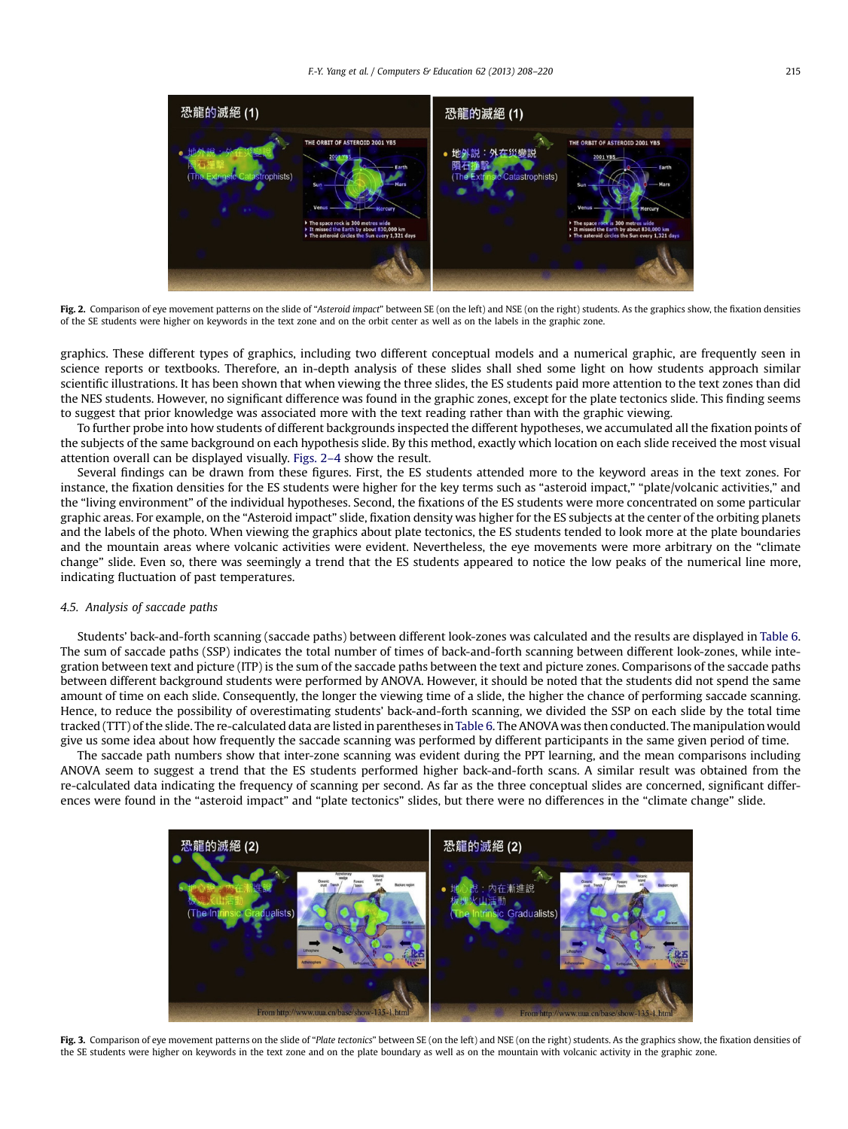

Fig. 2. Comparison of eye movement patterns on the slide of "Asteroid impact" between SE (on the left) and NSE (on the right) students. As the graphics show, the fixation densities of the SE students were higher on keywords in the text zone and on the orbit center as well as on the labels in the graphic zone.

graphics. These different types of graphics, including two different conceptual models and a numerical graphic, are frequently seen in science reports or textbooks. Therefore, an in-depth analysis of these slides shall shed some light on how students approach similar scientific illustrations. It has been shown that when viewing the three slides, the ES students paid more attention to the text zones than did the NES students. However, no significant difference was found in the graphic zones, except for the plate tectonics slide. This finding seems to suggest that prior knowledge was associated more with the text reading rather than with the graphic viewing.

To further probe into how students of different backgrounds inspected the different hypotheses, we accumulated all the fixation points of the subjects of the same background on each hypothesis slide. By this method, exactly which location on each slide received the most visual attention overall can be displayed visually. Figs. 2–4 show the result.

Several findings can be drawn from these figures. First, the ES students attended more to the keyword areas in the text zones. For instance, the fixation densities for the ES students were higher for the key terms such as "asteroid impact," "plate/volcanic activities," and the "living environment" of the individual hypotheses. Second, the fixations of the ES students were more concentrated on some particular graphic areas. For example, on the "Asteroid impact" slide, fixation density was higher for the ES subjects at the center of the orbiting planets and the labels of the photo. When viewing the graphics about plate tectonics, the ES students tended to look more at the plate boundaries and the mountain areas where volcanic activities were evident. Nevertheless, the eye movements were more arbitrary on the "climate change" slide. Even so, there was seemingly a trend that the ES students appeared to notice the low peaks of the numerical line more, indicating fluctuation of past temperatures.

## 4.5. Analysis of saccade paths

Students' back-and-forth scanning (saccade paths) between different look-zones was calculated and the results are displayed in [Table 6.](#page-8-0) The sum of saccade paths (SSP) indicates the total number of times of back-and-forth scanning between different look-zones, while integration between text and picture (ITP) is the sum of the saccade paths between the text and picture zones. Comparisons of the saccade paths between different background students were performed by ANOVA. However, it should be noted that the students did not spend the same amount of time on each slide. Consequently, the longer the viewing time of a slide, the higher the chance of performing saccade scanning. Hence, to reduce the possibility of overestimating students' back-and-forth scanning, we divided the SSP on each slide by the total time tracked (TTT) of the slide. The re-calculated data are listed in parentheses in[Table 6](#page-8-0). The ANOVA was then conducted. The manipulation would give us some idea about how frequently the saccade scanning was performed by different participants in the same given period of time.

The saccade path numbers show that inter-zone scanning was evident during the PPT learning, and the mean comparisons including ANOVA seem to suggest a trend that the ES students performed higher back-and-forth scans. A similar result was obtained from the re-calculated data indicating the frequency of scanning per second. As far as the three conceptual slides are concerned, significant differences were found in the "asteroid impact" and "plate tectonics" slides, but there were no differences in the "climate change" slide.



Fig. 3. Comparison of eye movement patterns on the slide of "Plate tectonics" between SE (on the left) and NSE (on the right) students. As the graphics show, the fixation densities of the SE students were higher on keywords in the text zone and on the plate boundary as well as on the mountain with volcanic activity in the graphic zone.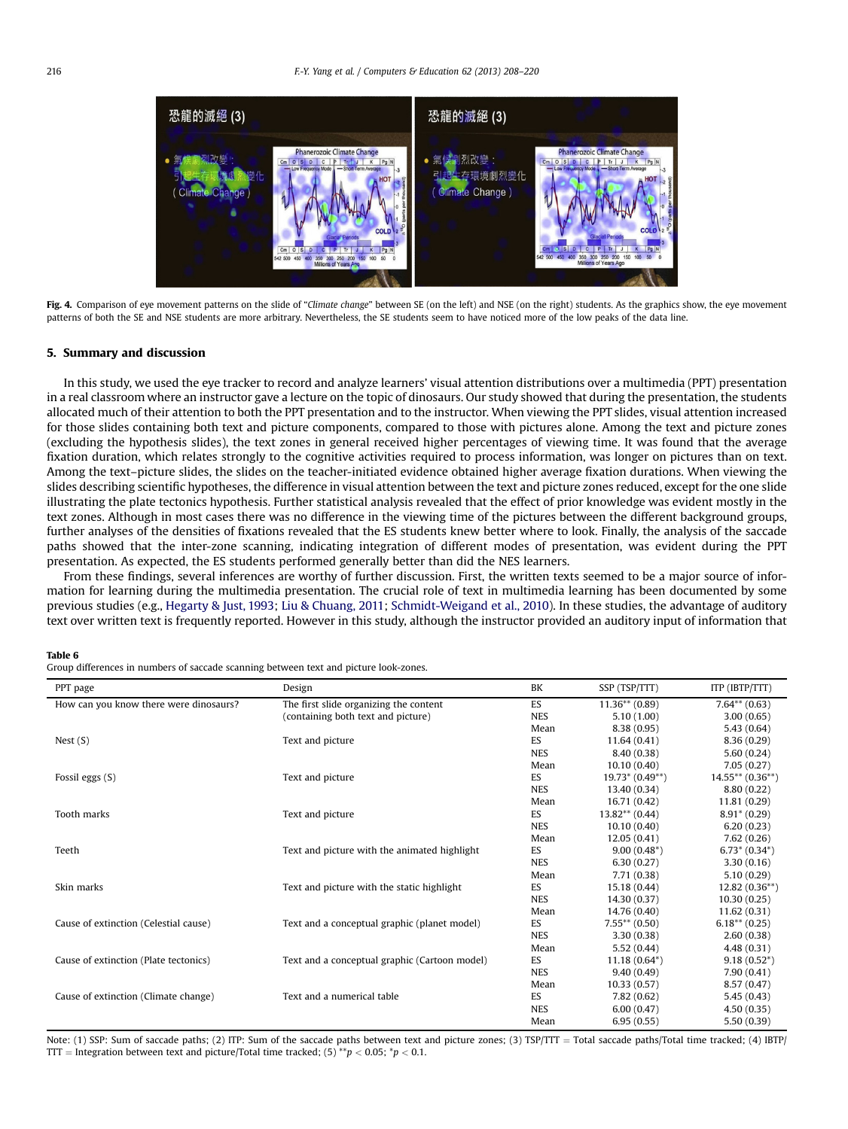<span id="page-8-0"></span>

Fig. 4. Comparison of eye movement patterns on the slide of "Climate change" between SE (on the left) and NSE (on the right) students. As the graphics show, the eye movement patterns of both the SE and NSE students are more arbitrary. Nevertheless, the SE students seem to have noticed more of the low peaks of the data line.

#### 5. Summary and discussion

In this study, we used the eye tracker to record and analyze learners' visual attention distributions over a multimedia (PPT) presentation in a real classroom where an instructor gave a lecture on the topic of dinosaurs. Our study showed that during the presentation, the students allocated much of their attention to both the PPT presentation and to the instructor. When viewing the PPT slides, visual attention increased for those slides containing both text and picture components, compared to those with pictures alone. Among the text and picture zones (excluding the hypothesis slides), the text zones in general received higher percentages of viewing time. It was found that the average fixation duration, which relates strongly to the cognitive activities required to process information, was longer on pictures than on text. Among the text–picture slides, the slides on the teacher-initiated evidence obtained higher average fixation durations. When viewing the slides describing scientific hypotheses, the difference in visual attention between the text and picture zones reduced, except for the one slide illustrating the plate tectonics hypothesis. Further statistical analysis revealed that the effect of prior knowledge was evident mostly in the text zones. Although in most cases there was no difference in the viewing time of the pictures between the different background groups, further analyses of the densities of fixations revealed that the ES students knew better where to look. Finally, the analysis of the saccade paths showed that the inter-zone scanning, indicating integration of different modes of presentation, was evident during the PPT presentation. As expected, the ES students performed generally better than did the NES learners.

From these findings, several inferences are worthy of further discussion. First, the written texts seemed to be a major source of information for learning during the multimedia presentation. The crucial role of text in multimedia learning has been documented by some previous studies (e.g., [Hegarty & Just, 1993;](#page-11-0) [Liu & Chuang, 2011;](#page-11-0) [Schmidt-Weigand et al., 2010\)](#page-11-0). In these studies, the advantage of auditory text over written text is frequently reported. However in this study, although the instructor provided an auditory input of information that

#### Table 6

Group differences in numbers of saccade scanning between text and picture look-zones.

| PPT page                               | Design                                        | BK         | SSP (TSP/TTT)         | ITP (IBTP/TTT)     |
|----------------------------------------|-----------------------------------------------|------------|-----------------------|--------------------|
| How can you know there were dinosaurs? | The first slide organizing the content        | ES         | $11.36**$ (0.89)      | $7.64**$ (0.63)    |
|                                        | (containing both text and picture)            | <b>NES</b> | 5.10(1.00)            | 3.00(0.65)         |
|                                        |                                               | Mean       | 8.38(0.95)            | 5.43(0.64)         |
| Nest $(S)$                             | Text and picture                              | ES         | 11.64(0.41)           | 8.36(0.29)         |
|                                        |                                               | <b>NES</b> | 8.40 (0.38)           | 5.60(0.24)         |
|                                        |                                               | Mean       | 10.10(0.40)           | 7.05(0.27)         |
| Fossil eggs (S)                        | Text and picture                              | ES         | $19.73^* (0.49^{**})$ | $14.55***(0.36**)$ |
|                                        |                                               | <b>NES</b> | 13.40 (0.34)          | 8.80(0.22)         |
|                                        |                                               | Mean       | 16.71 (0.42)          | 11.81 (0.29)       |
| Tooth marks                            | Text and picture                              | ES         | $13.82**$ (0.44)      | $8.91^* (0.29)$    |
|                                        |                                               | <b>NES</b> | 10.10(0.40)           | 6.20(0.23)         |
|                                        |                                               | Mean       | 12.05(0.41)           | 7.62(0.26)         |
| Teeth                                  | Text and picture with the animated highlight  | ES         | $9.00(0.48^*)$        | $6.73^* (0.34^*)$  |
|                                        |                                               | <b>NES</b> | 6.30(0.27)            | 3.30(0.16)         |
|                                        |                                               | Mean       | 7.71(0.38)            | 5.10(0.29)         |
| Skin marks                             | Text and picture with the static highlight    | ES         | 15.18 (0.44)          | $12.82(0.36^{**})$ |
|                                        |                                               | <b>NES</b> | 14.30 (0.37)          | 10.30(0.25)        |
|                                        |                                               | Mean       | 14.76 (0.40)          | 11.62(0.31)        |
| Cause of extinction (Celestial cause)  | Text and a conceptual graphic (planet model)  | ES         | $7.55***(0.50)$       | $6.18**$ (0.25)    |
|                                        |                                               | <b>NES</b> | 3.30(0.38)            | 2.60(0.38)         |
|                                        |                                               | Mean       | 5.52(0.44)            | 4.48(0.31)         |
| Cause of extinction (Plate tectonics)  | Text and a conceptual graphic (Cartoon model) | ES         | $11.18(0.64^*)$       | $9.18(0.52^*)$     |
|                                        |                                               | <b>NES</b> | 9.40(0.49)            | 7.90(0.41)         |
|                                        |                                               | Mean       | 10.33(0.57)           | 8.57(0.47)         |
| Cause of extinction (Climate change)   | Text and a numerical table                    | ES         | 7.82(0.62)            | 5.45(0.43)         |
|                                        |                                               | <b>NES</b> | 6.00(0.47)            | 4.50(0.35)         |
|                                        |                                               | Mean       | 6.95(0.55)            | 5.50(0.39)         |

Note: (1) SSP: Sum of saccade paths; (2) ITP: Sum of the saccade paths between text and picture zones; (3) TSP/TTT = Total saccade paths/Total time tracked; (4) IBTP/ TTT = Integration between text and picture/Total time tracked; (5) \*\*p < 0.05; \*p < 0.1.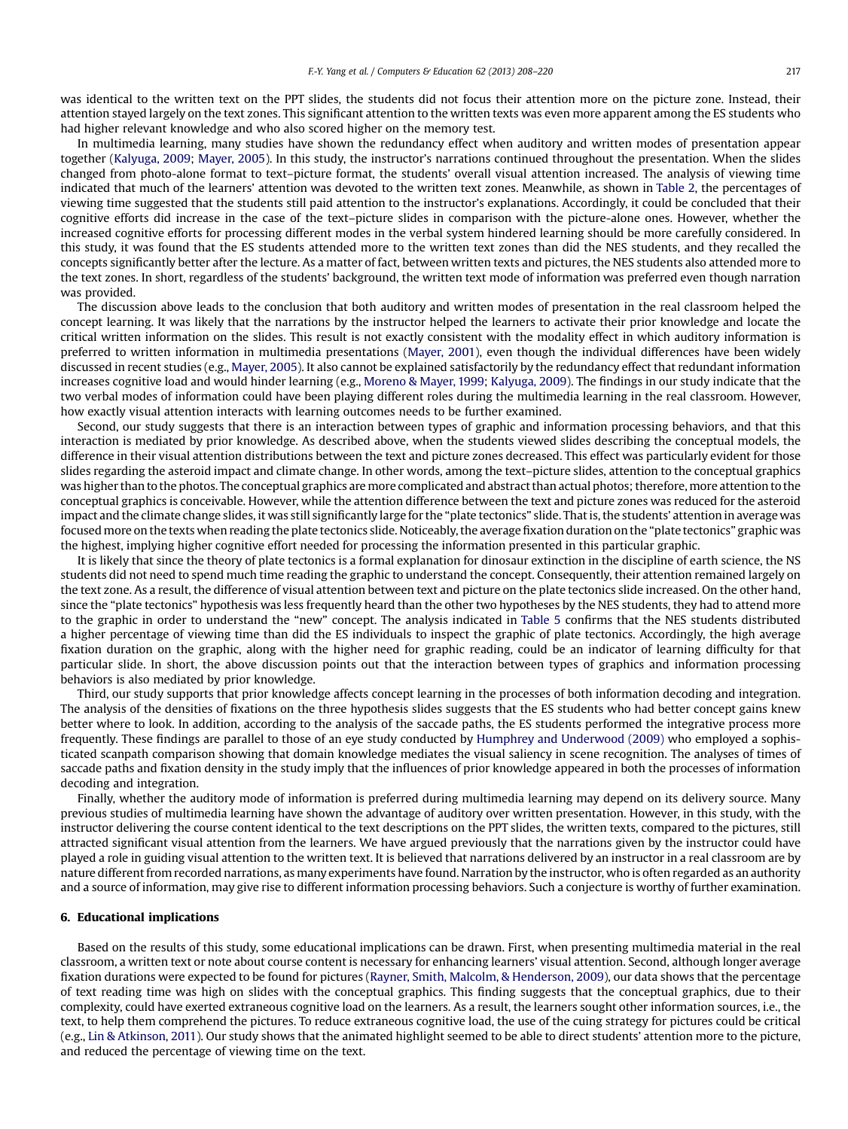was identical to the written text on the PPT slides, the students did not focus their attention more on the picture zone. Instead, their attention stayed largely on the text zones. This significant attention to the written texts was even more apparent among the ES students who had higher relevant knowledge and who also scored higher on the memory test.

In multimedia learning, many studies have shown the redundancy effect when auditory and written modes of presentation appear together [\(Kalyuga, 2009;](#page-11-0) [Mayer, 2005](#page-11-0)). In this study, the instructor's narrations continued throughout the presentation. When the slides changed from photo-alone format to text–picture format, the students' overall visual attention increased. The analysis of viewing time indicated that much of the learners' attention was devoted to the written text zones. Meanwhile, as shown in [Table 2](#page-4-0), the percentages of viewing time suggested that the students still paid attention to the instructor's explanations. Accordingly, it could be concluded that their cognitive efforts did increase in the case of the text–picture slides in comparison with the picture-alone ones. However, whether the increased cognitive efforts for processing different modes in the verbal system hindered learning should be more carefully considered. In this study, it was found that the ES students attended more to the written text zones than did the NES students, and they recalled the concepts significantly better after the lecture. As a matter of fact, between written texts and pictures, the NES students also attended more to the text zones. In short, regardless of the students' background, the written text mode of information was preferred even though narration was provided.

The discussion above leads to the conclusion that both auditory and written modes of presentation in the real classroom helped the concept learning. It was likely that the narrations by the instructor helped the learners to activate their prior knowledge and locate the critical written information on the slides. This result is not exactly consistent with the modality effect in which auditory information is preferred to written information in multimedia presentations [\(Mayer, 2001\)](#page-11-0), even though the individual differences have been widely discussed in recent studies (e.g., [Mayer, 2005\)](#page-11-0). It also cannot be explained satisfactorily by the redundancy effect that redundant information increases cognitive load and would hinder learning (e.g., [Moreno & Mayer, 1999](#page-11-0); [Kalyuga, 2009](#page-11-0)). The findings in our study indicate that the two verbal modes of information could have been playing different roles during the multimedia learning in the real classroom. However, how exactly visual attention interacts with learning outcomes needs to be further examined.

Second, our study suggests that there is an interaction between types of graphic and information processing behaviors, and that this interaction is mediated by prior knowledge. As described above, when the students viewed slides describing the conceptual models, the difference in their visual attention distributions between the text and picture zones decreased. This effect was particularly evident for those slides regarding the asteroid impact and climate change. In other words, among the text–picture slides, attention to the conceptual graphics was higher than to the photos. The conceptual graphics are more complicated and abstract than actual photos; therefore,more attention to the conceptual graphics is conceivable. However, while the attention difference between the text and picture zones was reduced for the asteroid impact and the climate change slides, it was still significantly large for the "plate tectonics" slide. That is, the students' attention in average was focused more on the texts when reading the plate tectonics slide. Noticeably, the average fixation duration on the "plate tectonics" graphic was the highest, implying higher cognitive effort needed for processing the information presented in this particular graphic.

It is likely that since the theory of plate tectonics is a formal explanation for dinosaur extinction in the discipline of earth science, the NS students did not need to spend much time reading the graphic to understand the concept. Consequently, their attention remained largely on the text zone. As a result, the difference of visual attention between text and picture on the plate tectonics slide increased. On the other hand, since the "plate tectonics" hypothesis was less frequently heard than the other two hypotheses by the NES students, they had to attend more to the graphic in order to understand the "new" concept. The analysis indicated in [Table 5](#page-6-0) confirms that the NES students distributed a higher percentage of viewing time than did the ES individuals to inspect the graphic of plate tectonics. Accordingly, the high average fixation duration on the graphic, along with the higher need for graphic reading, could be an indicator of learning difficulty for that particular slide. In short, the above discussion points out that the interaction between types of graphics and information processing behaviors is also mediated by prior knowledge.

Third, our study supports that prior knowledge affects concept learning in the processes of both information decoding and integration. The analysis of the densities of fixations on the three hypothesis slides suggests that the ES students who had better concept gains knew better where to look. In addition, according to the analysis of the saccade paths, the ES students performed the integrative process more frequently. These findings are parallel to those of an eye study conducted by [Humphrey and Underwood \(2009\)](#page-11-0) who employed a sophisticated scanpath comparison showing that domain knowledge mediates the visual saliency in scene recognition. The analyses of times of saccade paths and fixation density in the study imply that the influences of prior knowledge appeared in both the processes of information decoding and integration.

Finally, whether the auditory mode of information is preferred during multimedia learning may depend on its delivery source. Many previous studies of multimedia learning have shown the advantage of auditory over written presentation. However, in this study, with the instructor delivering the course content identical to the text descriptions on the PPT slides, the written texts, compared to the pictures, still attracted significant visual attention from the learners. We have argued previously that the narrations given by the instructor could have played a role in guiding visual attention to the written text. It is believed that narrations delivered by an instructor in a real classroom are by nature different from recorded narrations, as many experiments have found. Narration by the instructor, who is often regarded as an authority and a source of information, may give rise to different information processing behaviors. Such a conjecture is worthy of further examination.

#### 6. Educational implications

Based on the results of this study, some educational implications can be drawn. First, when presenting multimedia material in the real classroom, a written text or note about course content is necessary for enhancing learners' visual attention. Second, although longer average fixation durations were expected to be found for pictures ([Rayner, Smith, Malcolm, & Henderson, 2009](#page-11-0)), our data shows that the percentage of text reading time was high on slides with the conceptual graphics. This finding suggests that the conceptual graphics, due to their complexity, could have exerted extraneous cognitive load on the learners. As a result, the learners sought other information sources, i.e., the text, to help them comprehend the pictures. To reduce extraneous cognitive load, the use of the cuing strategy for pictures could be critical (e.g., [Lin & Atkinson, 2011\)](#page-11-0). Our study shows that the animated highlight seemed to be able to direct students' attention more to the picture, and reduced the percentage of viewing time on the text.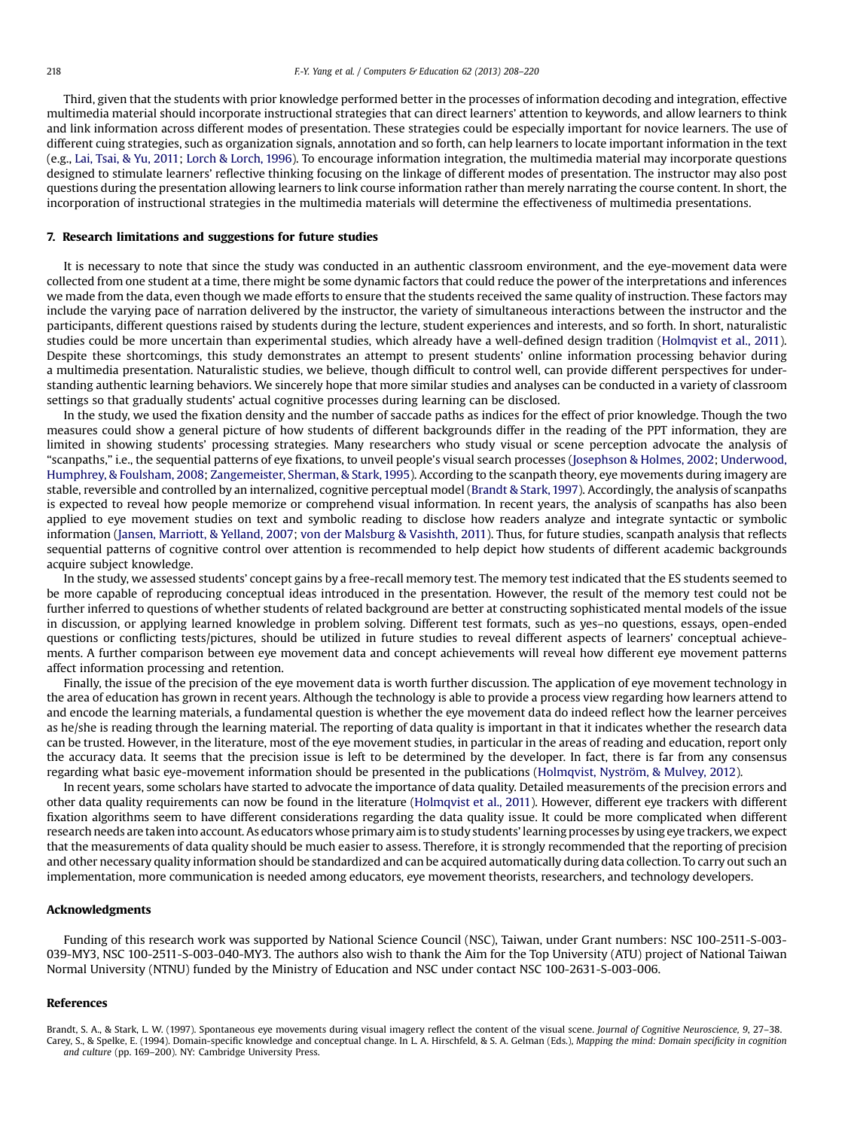<span id="page-10-0"></span>Third, given that the students with prior knowledge performed better in the processes of information decoding and integration, effective multimedia material should incorporate instructional strategies that can direct learners' attention to keywords, and allow learners to think and link information across different modes of presentation. These strategies could be especially important for novice learners. The use of different cuing strategies, such as organization signals, annotation and so forth, can help learners to locate important information in the text (e.g., [Lai, Tsai, & Yu, 2011;](#page-11-0) [Lorch & Lorch, 1996](#page-11-0)). To encourage information integration, the multimedia material may incorporate questions designed to stimulate learners' reflective thinking focusing on the linkage of different modes of presentation. The instructor may also post questions during the presentation allowing learners to link course information rather than merely narrating the course content. In short, the incorporation of instructional strategies in the multimedia materials will determine the effectiveness of multimedia presentations.

#### 7. Research limitations and suggestions for future studies

It is necessary to note that since the study was conducted in an authentic classroom environment, and the eye-movement data were collected from one student at a time, there might be some dynamic factors that could reduce the power of the interpretations and inferences we made from the data, even though we made efforts to ensure that the students received the same quality of instruction. These factors may include the varying pace of narration delivered by the instructor, the variety of simultaneous interactions between the instructor and the participants, different questions raised by students during the lecture, student experiences and interests, and so forth. In short, naturalistic studies could be more uncertain than experimental studies, which already have a well-defined design tradition ([Holmqvist et al., 2011\)](#page-11-0). Despite these shortcomings, this study demonstrates an attempt to present students' online information processing behavior during a multimedia presentation. Naturalistic studies, we believe, though difficult to control well, can provide different perspectives for understanding authentic learning behaviors. We sincerely hope that more similar studies and analyses can be conducted in a variety of classroom settings so that gradually students' actual cognitive processes during learning can be disclosed.

In the study, we used the fixation density and the number of saccade paths as indices for the effect of prior knowledge. Though the two measures could show a general picture of how students of different backgrounds differ in the reading of the PPT information, they are limited in showing students' processing strategies. Many researchers who study visual or scene perception advocate the analysis of "scanpaths," i.e., the sequential patterns of eye fixations, to unveil people's visual search processes [\(Josephson & Holmes, 2002;](#page-11-0) [Underwood,](#page-11-0) [Humphrey, & Foulsham, 2008](#page-11-0); [Zangemeister, Sherman, & Stark, 1995](#page-12-0)). According to the scanpath theory, eye movements during imagery are stable, reversible and controlled by an internalized, cognitive perceptual model (Brandt & Stark, 1997). Accordingly, the analysis of scanpaths is expected to reveal how people memorize or comprehend visual information. In recent years, the analysis of scanpaths has also been applied to eye movement studies on text and symbolic reading to disclose how readers analyze and integrate syntactic or symbolic information [\(Jansen, Marriott, & Yelland, 2007](#page-11-0); [von der Malsburg & Vasishth, 2011\)](#page-11-0). Thus, for future studies, scanpath analysis that reflects sequential patterns of cognitive control over attention is recommended to help depict how students of different academic backgrounds acquire subject knowledge.

In the study, we assessed students' concept gains by a free-recall memory test. The memory test indicated that the ES students seemed to be more capable of reproducing conceptual ideas introduced in the presentation. However, the result of the memory test could not be further inferred to questions of whether students of related background are better at constructing sophisticated mental models of the issue in discussion, or applying learned knowledge in problem solving. Different test formats, such as yes–no questions, essays, open-ended questions or conflicting tests/pictures, should be utilized in future studies to reveal different aspects of learners' conceptual achievements. A further comparison between eye movement data and concept achievements will reveal how different eye movement patterns affect information processing and retention.

Finally, the issue of the precision of the eye movement data is worth further discussion. The application of eye movement technology in the area of education has grown in recent years. Although the technology is able to provide a process view regarding how learners attend to and encode the learning materials, a fundamental question is whether the eye movement data do indeed reflect how the learner perceives as he/she is reading through the learning material. The reporting of data quality is important in that it indicates whether the research data can be trusted. However, in the literature, most of the eye movement studies, in particular in the areas of reading and education, report only the accuracy data. It seems that the precision issue is left to be determined by the developer. In fact, there is far from any consensus regarding what basic eye-movement information should be presented in the publications ([Holmqvist, Nyström, & Mulvey, 2012](#page-11-0)).

In recent years, some scholars have started to advocate the importance of data quality. Detailed measurements of the precision errors and other data quality requirements can now be found in the literature [\(Holmqvist et al., 2011\)](#page-11-0). However, different eye trackers with different fixation algorithms seem to have different considerations regarding the data quality issue. It could be more complicated when different research needs are taken into account. As educators whose primary aim is to study students' learning processes by using eye trackers, we expect that the measurements of data quality should be much easier to assess. Therefore, it is strongly recommended that the reporting of precision and other necessary quality information should be standardized and can be acquired automatically during data collection. To carry out such an implementation, more communication is needed among educators, eye movement theorists, researchers, and technology developers.

## Acknowledgments

Funding of this research work was supported by National Science Council (NSC), Taiwan, under Grant numbers: NSC 100-2511-S-003- 039-MY3, NSC 100-2511-S-003-040-MY3. The authors also wish to thank the Aim for the Top University (ATU) project of National Taiwan Normal University (NTNU) funded by the Ministry of Education and NSC under contact NSC 100-2631-S-003-006.

#### References

Brandt, S. A., & Stark, L. W. (1997). Spontaneous eye movements during visual imagery reflect the content of the visual scene. Journal of Cognitive Neuroscience, 9, 27–38. Carey, S., & Spelke, E. (1994). Domain-specific knowledge and conceptual change. In L. A. Hirschfeld, & S. A. Gelman (Eds.), Mapping the mind: Domain specificity in cognition and culture (pp. 169–200). NY: Cambridge University Press.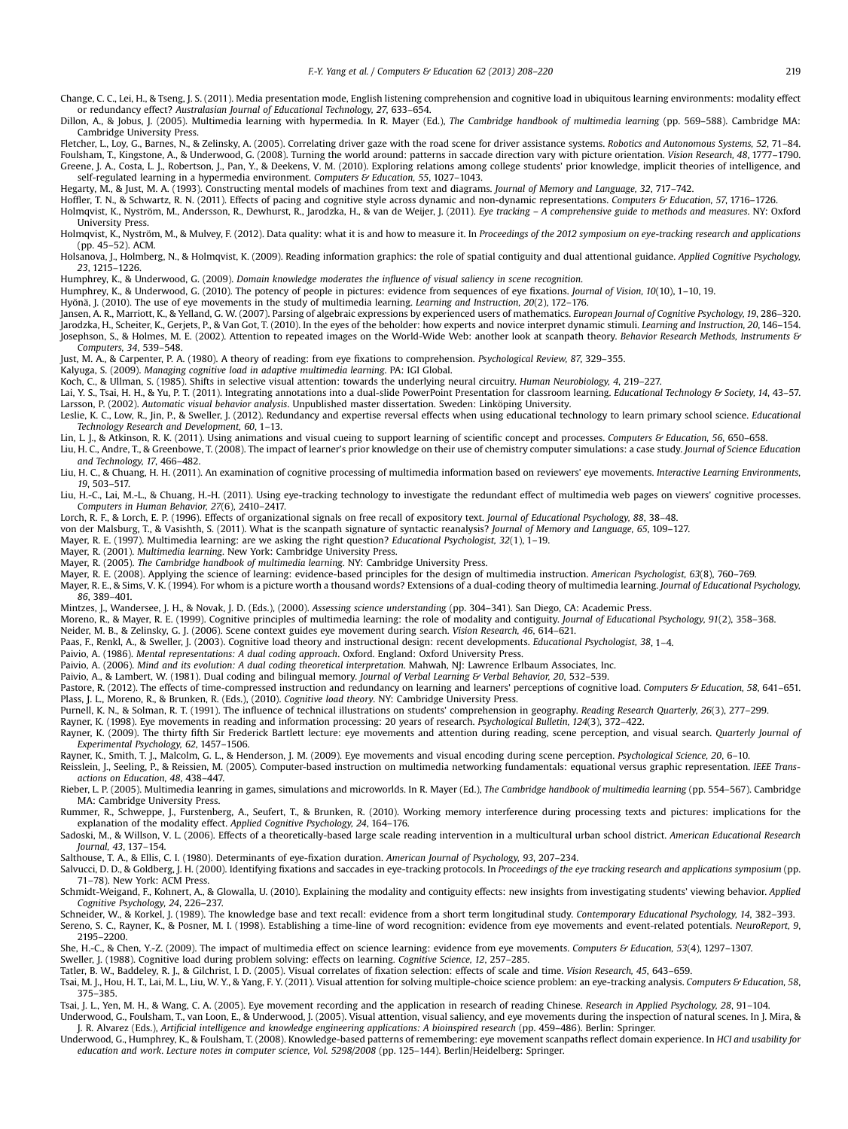- <span id="page-11-0"></span>Change, C. C., Lei, H., & Tseng, J. S. (2011). Media presentation mode, English listening comprehension and cognitive load in ubiquitous learning environments: modality effect or redundancy effect? Australasian Journal of Educational Technology, 27, 633–654.
- Dillon, A., & Jobus, J. (2005). Multimedia learning with hypermedia. In R. Mayer (Ed.), The Cambridge handbook of multimedia learning (pp. 569–588). Cambridge MA: Cambridge University Press.
- Fletcher, L., Loy, G., Barnes, N., & Zelinsky, A. (2005). Correlating driver gaze with the road scene for driver assistance systems. Robotics and Autonomous Systems, 52, 71–84. Foulsham, T., Kingstone, A., & Underwood, G. (2008). Turning the world around: patterns in saccade direction vary with picture orientation. Vision Research, 48, 1777–1790. Greene, J. A., Costa, L. J., Robertson, J., Pan, Y., & Deekens, V. M. (2010). Exploring relations among college students' prior knowledge, implicit theories of intelligence, and self-regulated learning in a hypermedia environment. Computers & Education, 55, 1027-1043.
- Hegarty, M., & Just, M. A. (1993). Constructing mental models of machines from text and diagrams. Journal of Memory and Language, 32, 717–742.
- Hoffler, T. N., & Schwartz, R. N. (2011). Effects of pacing and cognitive style across dynamic and non-dynamic representations. Computers & Education, 57, 1716–1726.
- Holmqvist, K., Nyström, M., Andersson, R., Dewhurst, R., Jarodzka, H., & van de Weijer, J. (2011). Eye tracking A comprehensive guide to methods and measures. NY: Oxford University Press.
- Holmqvist, K., Nyström, M., & Mulvey, F. (2012). Data quality: what it is and how to measure it. In Proceedings of the 2012 symposium on eye-tracking research and applications (pp. 45–52). ACM.
- Holsanova, J., Holmberg, N., & Holmqvist, K. (2009). Reading information graphics: the role of spatial contiguity and dual attentional guidance. Applied Cognitive Psychology, 23, 1215–1226.
- Humphrey, K., & Underwood, G. (2009). Domain knowledge moderates the influence of visual saliency in scene recognition.
- Humphrey, K., & Underwood, G. (2010). The potency of people in pictures: evidence from sequences of eye fixations. Journal of Vision, 10(10), 1–10, 19.
- 
- Hyönä, J. (2010). The use of eye movements in the study of multimedia learning. *Learning and Instruction, 20*(2), 172–176.<br>Jansen, A. R., Marriott, K., & Yelland, G. W. (2007). Parsing of algebraic expressions by experien
- Jarodzka, H., Scheiter, K., Gerjets, P., & Van Got, T. (2010). In the eyes of the beholder: how experts and novice interpret dynamic stimuli. Learning and Instruction, 20, 146–154. Josephson, S., & Holmes, M. E. (2002). Attention to repeated images on the World-Wide Web: another look at scanpath theory. Behavior Research Methods, Instruments & Computers, 34, 539–548.
- Just, M. A., & Carpenter, P. A. (1980). A theory of reading: from eye fixations to comprehension. Psychological Review, 87, 329–355.
- Kalyuga, S. (2009). Managing cognitive load in adaptive multimedia learning. PA: IGI Global.
- Koch, C., & Ullman, S. (1985). Shifts in selective visual attention: towards the underlying neural circuitry. Human Neurobiology, 4, 219–227.
- Lai, Y. S., Tsai, H. H., & Yu, P. T. (2011). Integrating annotations into a dual-slide PowerPoint Presentation for classroom learning. Educational Technology & Society, 14, 43-57. Larsson, P. (2002). Automatic visual behavior analysis. Unpublished master dissertation. Sweden: Linköping University.
- Leslie, K. C., Low, R., Jin, P., & Sweller, J. (2012). Redundancy and expertise reversal effects when using educational technology to learn primary school science. Educational Technology Research and Development, 60, 1–13.
- Lin, L. J., & Atkinson, R. K. (2011). Using animations and visual cueing to support learning of scientific concept and processes. Computers & Education, 56, 650-658.
- Liu, H. C., Andre, T., & Greenbowe, T. (2008). The impact of learner's prior knowledge on their use of chemistry computer simulations: a case study. Journal of Science Education and Technology, 17, 466–482.
- Liu, H. C., & Chuang, H. H. (2011). An examination of cognitive processing of multimedia information based on reviewers' eye movements. Interactive Learning Environments, 19, 503–517.
- Liu, H.-C., Lai, M.-L., & Chuang, H.-H. (2011). Using eye-tracking technology to investigate the redundant effect of multimedia web pages on viewers' cognitive processes. Computers in Human Behavior, 27(6), 2410–2417.
- Lorch, R. F., & Lorch, E. P. (1996). Effects of organizational signals on free recall of expository text. Journal of Educational Psychology, 88, 38–48.
- von der Malsburg, T., & Vasishth, S. (2011). What is the scanpath signature of syntactic reanalysis? Journal of Memory and Language, 65, 109–127.
- Mayer, R. E. (1997). Multimedia learning: are we asking the right question? Educational Psychologist, 32(1), 1–19.
- Mayer, R. (2001). Multimedia learning. New York: Cambridge University Press.
- Mayer, R. (2005). The Cambridge handbook of multimedia learning. NY: Cambridge University Press.
- Mayer, R. E. (2008). Applying the science of learning: evidence-based principles for the design of multimedia instruction. American Psychologist, 63(8), 760–769.
- Mayer, R. E., & Sims, V. K. (1994). For whom is a picture worth a thousand words? Extensions of a dual-coding theory of multimedia learning. Journal of Educational Psychology, 86, 389–401.
- Mintzes, J., Wandersee, J. H., & Novak, J. D. (Eds.), (2000). Assessing science understanding (pp. 304–341). San Diego, CA: Academic Press.
- Moreno, R., & Mayer, R. E. (1999). Cognitive principles of multimedia learning: the role of modality and contiguity. Journal of Educational Psychology, 91(2), 358–368.
- Neider, M. B., & Zelinsky, G. J. (2006). Scene context guides eye movement during search. Vision Research, 46, 614–621.
- Paas, F., Renkl, A., & Sweller, J. (2003). Cognitive load theory and instructional design: recent developments. Educational Psychologist, 38, 1–4.
- Paivio, A. (1986). Mental representations: A dual coding approach. Oxford. England: Oxford University Press.
- Paivio, A. (2006). Mind and its evolution: A dual coding theoretical interpretation. Mahwah, NJ: Lawrence Erlbaum Associates, Inc.
- Paivio, A., & Lambert, W. (1981). Dual coding and bilingual memory. Journal of Verbal Learning & Verbal Behavior, 20, 532-539.
- Pastore, R. (2012). The effects of time-compressed instruction and redundancy on learning and learners' perceptions of cognitive load. Computers & Education, 58, 641-651. Plass, J. L., Moreno, R., & Brunken, R. (Eds.), (2010). Cognitive load theory. NY: Cambridge University Press.
- Purnell, K. N., & Solman, R. T. (1991). The influence of technical illustrations on students' comprehension in geography. Reading Research Quarterly, 26(3), 277-299.
- Rayner, K. (1998). Eye movements in reading and information processing: 20 years of research. Psychological Bulletin, 124(3), 372–422.
- Rayner, K. (2009). The thirty fifth Sir Frederick Bartlett lecture: eye movements and attention during reading, scene perception, and visual search. Quarterly Journal of Experimental Psychology, 62, 1457–1506.
- Rayner, K., Smith, T. J., Malcolm, G. L., & Henderson, J. M. (2009). Eye movements and visual encoding during scene perception. Psychological Science, 20, 6–10.
- Reisslein, J., Seeling, P., & Reissien, M. (2005). Computer-based instruction on multimedia networking fundamentals: equational versus graphic representation. IEEE Transactions on Education, 48, 438–447.
- Rieber, L. P. (2005). Multimedia leanring in games, simulations and microworlds. In R. Mayer (Ed.), The Cambridge handbook of multimedia learning (pp. 554-567). Cambridge MA: Cambridge University Press.
- Rummer, R., Schweppe, J., Furstenberg, A., Seufert, T., & Brunken, R. (2010). Working memory interference during processing texts and pictures: implications for the explanation of the modality effect. Applied Cognitive Psychology, 24, 164–176.
- Sadoski, M., & Willson, V. L. (2006). Effects of a theoretically-based large scale reading intervention in a multicultural urban school district. American Educational Research Journal, 43, 137–154.
- Salthouse, T. A., & Ellis, C. I. (1980). Determinants of eye-fixation duration. American Journal of Psychology, 93, 207–234.
- Salvucci, D. D., & Goldberg, J. H. (2000). Identifying fixations and saccades in eye-tracking protocols. In Proceedings of the eye tracking research and applications symposium (pp. 71–78). New York: ACM Press.
- Schmidt-Weigand, F., Kohnert, A., & Glowalla, U. (2010). Explaining the modality and contiguity effects: new insights from investigating students' viewing behavior. Applied Cognitive Psychology, 24, 226–237.
- Schneider, W., & Korkel, J. (1989). The knowledge base and text recall: evidence from a short term longitudinal study. Contemporary Educational Psychology, 14, 382-393. Sereno, S. C., Rayner, K., & Posner, M. I. (1998). Establishing a time-line of word recognition: evidence from eye movements and event-related potentials. NeuroReport, 9, 2195–2200.
- She, H.-C., & Chen, Y.-Z. (2009). The impact of multimedia effect on science learning: evidence from eye movements. Computers & Education, 53(4), 1297-1307.
- 
- Sweller, J. (1988). Cognitive load during problem solving: effects on learning. *Cognitive Science, 12, 257–285.*<br>Tatler, B. W., Baddeley, R. J., & Gilchrist, I. D. (2005). Visual correlates of fixation selection: effects
- Tsai, M. J., Hou, H. T., Lai, M. L., Liu, W. Y., & Yang, F. Y. (2011). Visual attention for solving multiple-choice science problem: an eye-tracking analysis. Computers & Education, 58, 375–385.
- Tsai, J. L., Yen, M. H., & Wang, C. A. (2005). Eye movement recording and the application in research of reading Chinese. Research in Applied Psychology, 28, 91-104.
- Underwood, G., Foulsham, T., van Loon, E., & Underwood, J. (2005). Visual attention, visual saliency, and eye movements during the inspection of natural scenes. In J. Mira, & J. R. Alvarez (Eds.), Artificial intelligence and knowledge engineering applications: A bioinspired research (pp. 459–486). Berlin: Springer.
- Underwood, G., Humphrey, K., & Foulsham, T. (2008). Knowledge-based patterns of remembering: eye movement scanpaths reflect domain experience. In HCI and usability for education and work. Lecture notes in computer science, Vol. 5298/2008 (pp. 125–144). Berlin/Heidelberg: Springer.